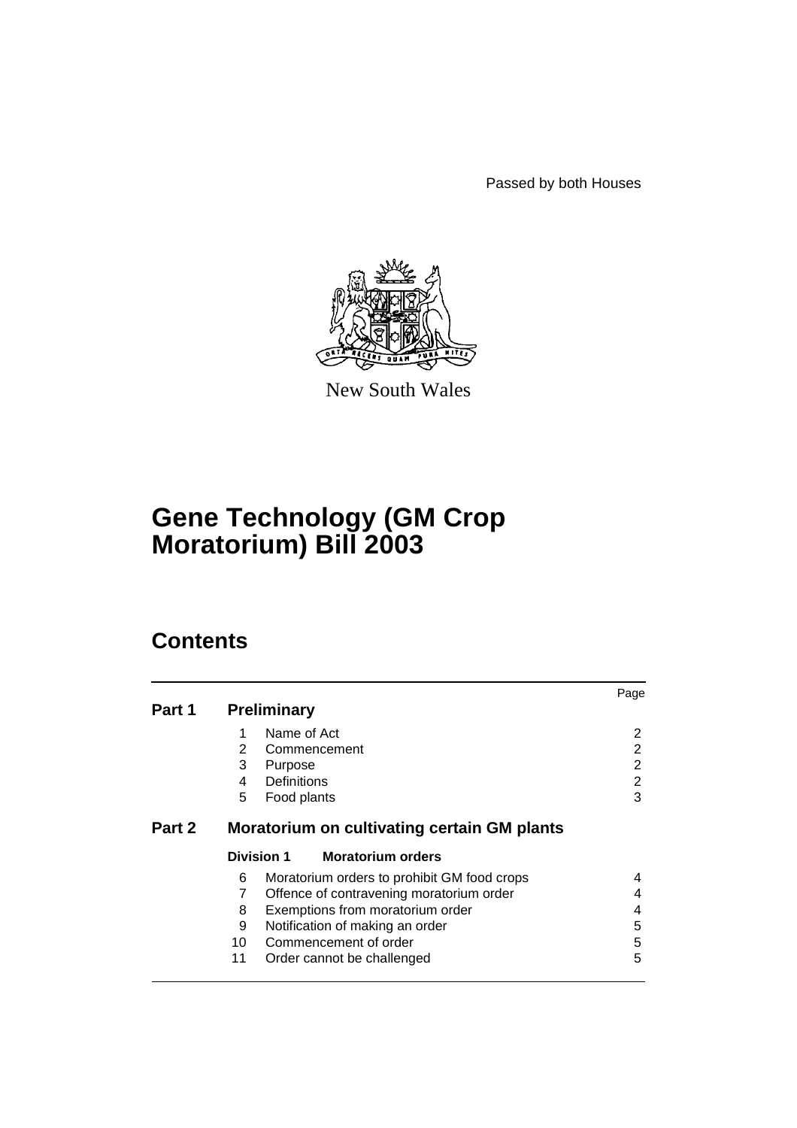Passed by both Houses



New South Wales

# **Gene Technology (GM Crop Moratorium) Bill 2003**

# **Contents**

|        |                                                  | Page           |
|--------|--------------------------------------------------|----------------|
| Part 1 | <b>Preliminary</b>                               |                |
|        | Name of Act<br>1                                 | 2              |
|        | 2<br>Commencement                                | 2              |
|        | 3<br>Purpose                                     | $\overline{2}$ |
|        | Definitions<br>4                                 | $\overline{2}$ |
|        | 5<br>Food plants                                 | 3              |
| Part 2 | Moratorium on cultivating certain GM plants      |                |
|        | <b>Division 1</b><br><b>Moratorium orders</b>    |                |
|        | Moratorium orders to prohibit GM food crops<br>6 |                |
|        | 7<br>Offence of contravening moratorium order    | 4              |
|        | Exemptions from moratorium order<br>8            | 4              |
|        | Notification of making an order<br>9             | 5              |
|        | Commencement of order<br>10                      | 5              |
|        | 11<br>Order cannot be challenged                 | 5              |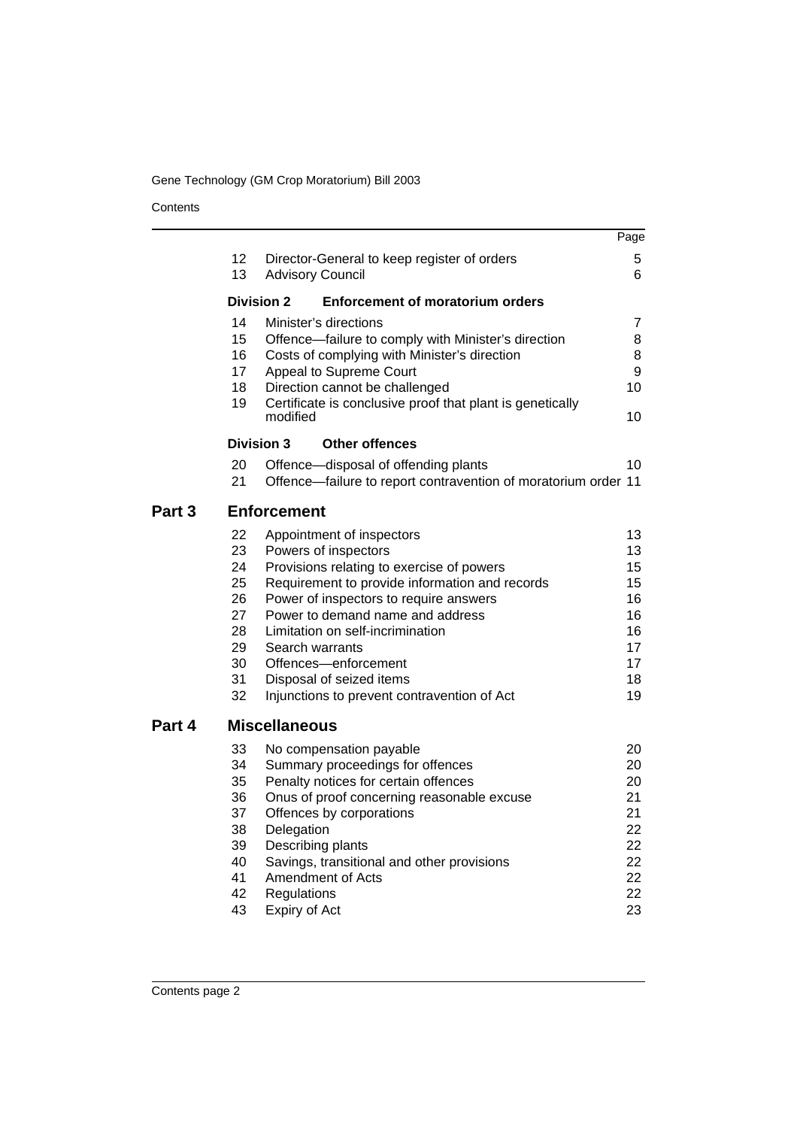#### **Contents**

|        |                                                                |                                            |                                                                                                                                                                                                                                                                                                                                                                                          | Page                                                           |
|--------|----------------------------------------------------------------|--------------------------------------------|------------------------------------------------------------------------------------------------------------------------------------------------------------------------------------------------------------------------------------------------------------------------------------------------------------------------------------------------------------------------------------------|----------------------------------------------------------------|
|        | 12<br>13                                                       |                                            | Director-General to keep register of orders<br><b>Advisory Council</b>                                                                                                                                                                                                                                                                                                                   | 5<br>6                                                         |
|        |                                                                | <b>Division 2</b>                          | <b>Enforcement of moratorium orders</b>                                                                                                                                                                                                                                                                                                                                                  |                                                                |
|        | 14<br>15<br>16<br>17<br>18<br>19                               | modified                                   | Minister's directions<br>Offence-failure to comply with Minister's direction<br>Costs of complying with Minister's direction<br>Appeal to Supreme Court<br>Direction cannot be challenged<br>Certificate is conclusive proof that plant is genetically                                                                                                                                   | 7<br>8<br>8<br>9<br>10<br>10                                   |
|        |                                                                | <b>Division 3</b>                          | <b>Other offences</b>                                                                                                                                                                                                                                                                                                                                                                    |                                                                |
|        | 20<br>21                                                       |                                            | Offence-disposal of offending plants<br>Offence-failure to report contravention of moratorium order 11                                                                                                                                                                                                                                                                                   | 10                                                             |
| Part 3 |                                                                | <b>Enforcement</b>                         |                                                                                                                                                                                                                                                                                                                                                                                          |                                                                |
|        | 22<br>23<br>24<br>25<br>26<br>27<br>28<br>29<br>30<br>31<br>32 |                                            | Appointment of inspectors<br>Powers of inspectors<br>Provisions relating to exercise of powers<br>Requirement to provide information and records<br>Power of inspectors to require answers<br>Power to demand name and address<br>Limitation on self-incrimination<br>Search warrants<br>Offences-enforcement<br>Disposal of seized items<br>Injunctions to prevent contravention of Act | 13<br>13<br>15<br>15<br>16<br>16<br>16<br>17<br>17<br>18<br>19 |
| Part 4 |                                                                | <b>Miscellaneous</b>                       |                                                                                                                                                                                                                                                                                                                                                                                          |                                                                |
|        | 33<br>34<br>35<br>36<br>37<br>38<br>39<br>40<br>41<br>42<br>43 | Delegation<br>Regulations<br>Expiry of Act | No compensation payable<br>Summary proceedings for offences<br>Penalty notices for certain offences<br>Onus of proof concerning reasonable excuse<br>Offences by corporations<br>Describing plants<br>Savings, transitional and other provisions<br>Amendment of Acts                                                                                                                    | 20<br>20<br>20<br>21<br>21<br>22<br>22<br>22<br>22<br>22<br>23 |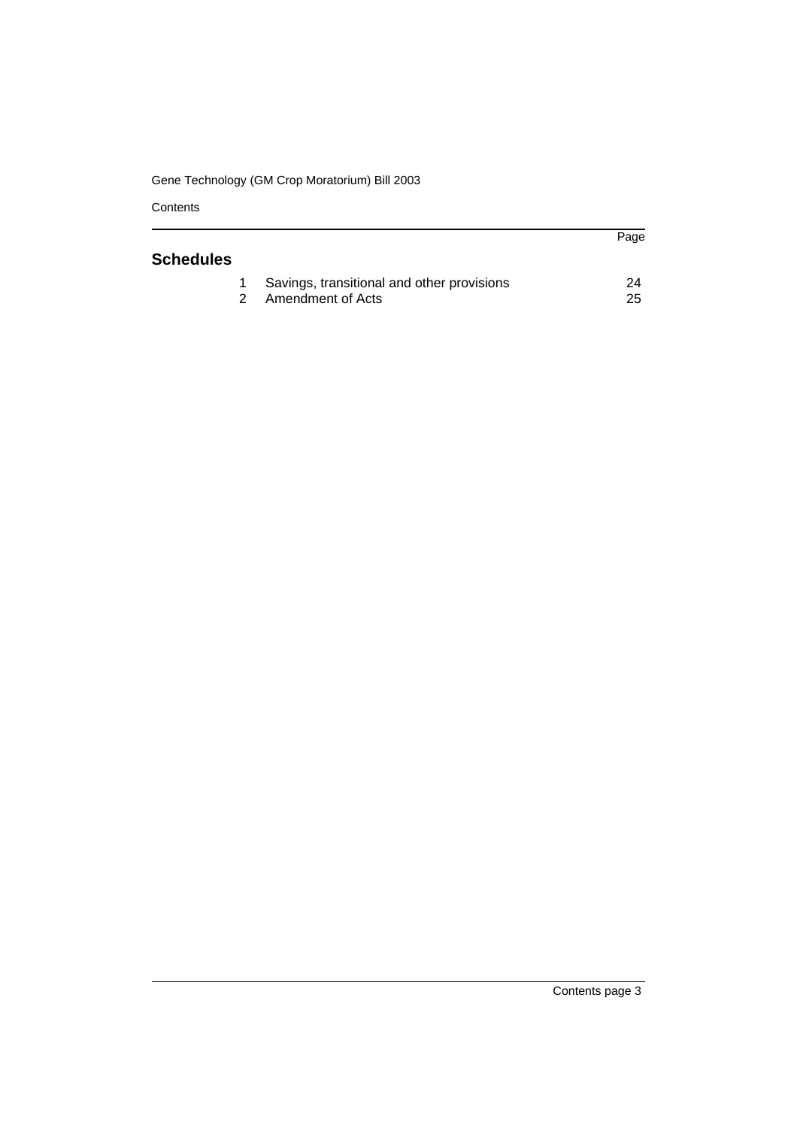**Contents** 

|                  |                                            | Page |
|------------------|--------------------------------------------|------|
| <b>Schedules</b> |                                            |      |
|                  | Savings, transitional and other provisions | 24   |
| $\mathcal{P}$    | Amendment of Acts                          | 25   |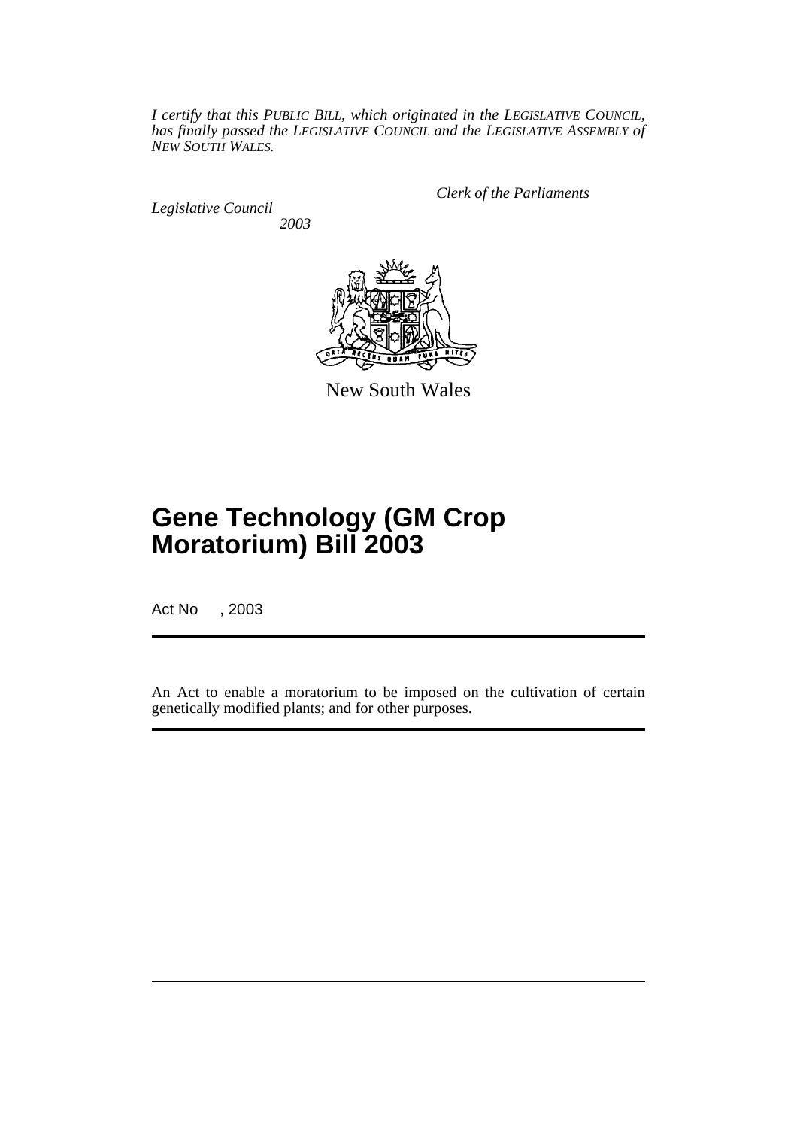*I certify that this PUBLIC BILL, which originated in the LEGISLATIVE COUNCIL, has finally passed the LEGISLATIVE COUNCIL and the LEGISLATIVE ASSEMBLY of NEW SOUTH WALES.*

*Legislative Council 2003* *Clerk of the Parliaments*



New South Wales

# **Gene Technology (GM Crop Moratorium) Bill 2003**

Act No , 2003

An Act to enable a moratorium to be imposed on the cultivation of certain genetically modified plants; and for other purposes.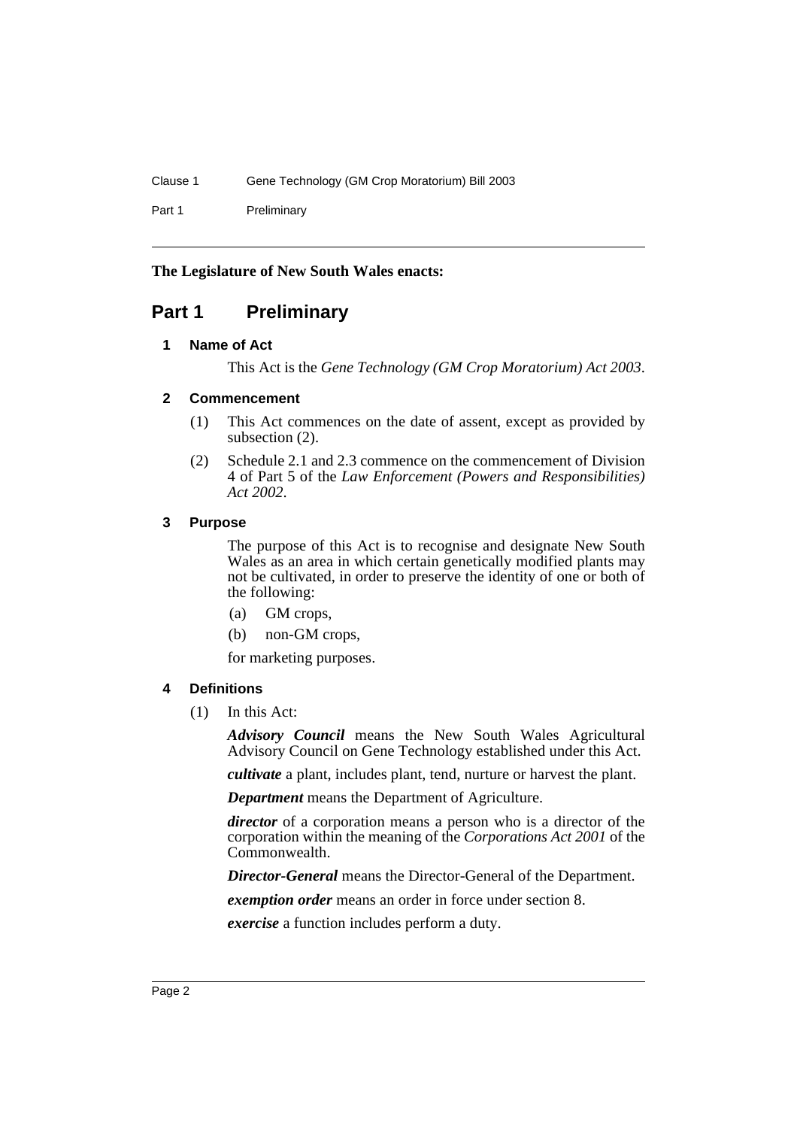Part 1 Preliminary

### **The Legislature of New South Wales enacts:**

# <span id="page-4-1"></span><span id="page-4-0"></span>**Part 1 Preliminary**

### **1 Name of Act**

This Act is the *Gene Technology (GM Crop Moratorium) Act 2003*.

### <span id="page-4-2"></span>**2 Commencement**

- (1) This Act commences on the date of assent, except as provided by subsection (2).
- (2) Schedule 2.1 and 2.3 commence on the commencement of Division 4 of Part 5 of the *Law Enforcement (Powers and Responsibilities) Act 2002*.

#### <span id="page-4-3"></span>**3 Purpose**

The purpose of this Act is to recognise and designate New South Wales as an area in which certain genetically modified plants may not be cultivated, in order to preserve the identity of one or both of the following:

- (a) GM crops,
- (b) non-GM crops,

for marketing purposes.

## <span id="page-4-4"></span>**4 Definitions**

(1) In this Act:

*Advisory Council* means the New South Wales Agricultural Advisory Council on Gene Technology established under this Act.

*cultivate* a plant, includes plant, tend, nurture or harvest the plant.

*Department* means the Department of Agriculture.

*director* of a corporation means a person who is a director of the corporation within the meaning of the *Corporations Act 2001* of the Commonwealth.

*Director-General* means the Director-General of the Department.

*exemption order* means an order in force under section 8.

*exercise* a function includes perform a duty.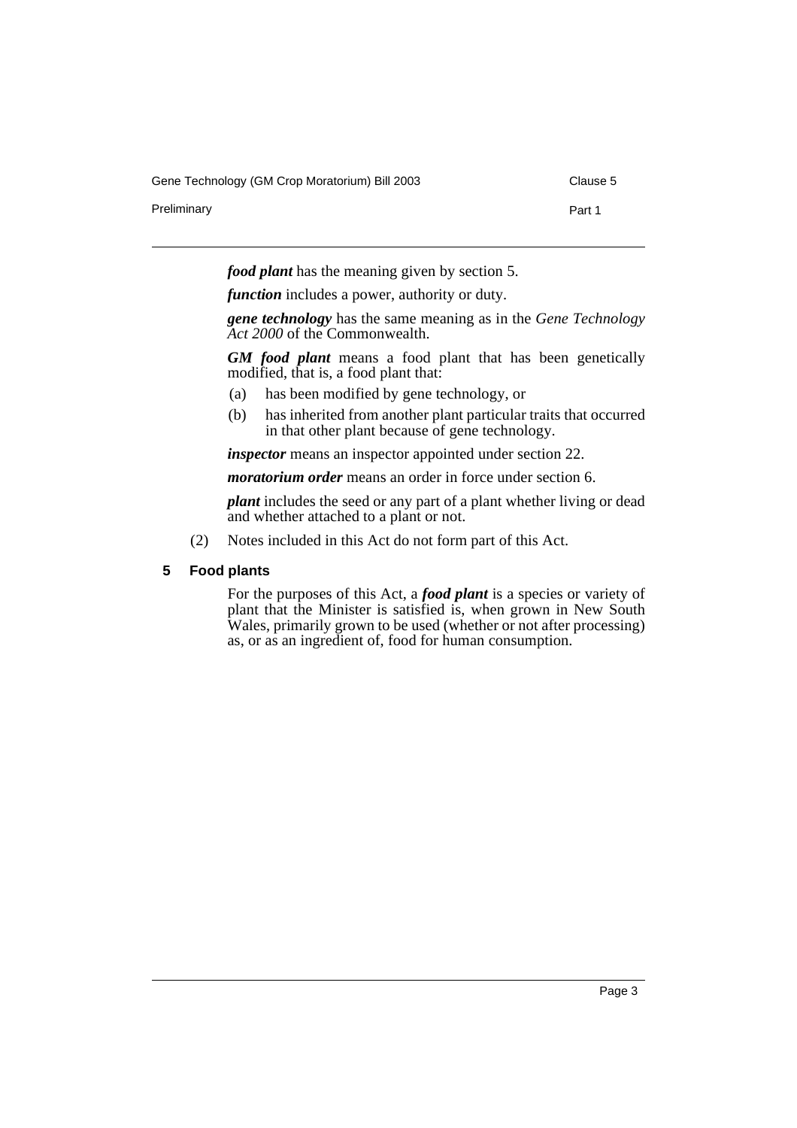Preliminary **Part 1** 

*food plant* has the meaning given by section 5.

*function* includes a power, authority or duty.

*gene technology* has the same meaning as in the *Gene Technology Act 2000* of the Commonwealth.

*GM food plant* means a food plant that has been genetically modified, that is, a food plant that:

- (a) has been modified by gene technology, or
- (b) has inherited from another plant particular traits that occurred in that other plant because of gene technology.

*inspector* means an inspector appointed under section 22.

*moratorium order* means an order in force under section 6.

*plant* includes the seed or any part of a plant whether living or dead and whether attached to a plant or not.

(2) Notes included in this Act do not form part of this Act.

#### <span id="page-5-0"></span>**5 Food plants**

For the purposes of this Act, a *food plant* is a species or variety of plant that the Minister is satisfied is, when grown in New South Wales, primarily grown to be used (whether or not after processing) as, or as an ingredient of, food for human consumption.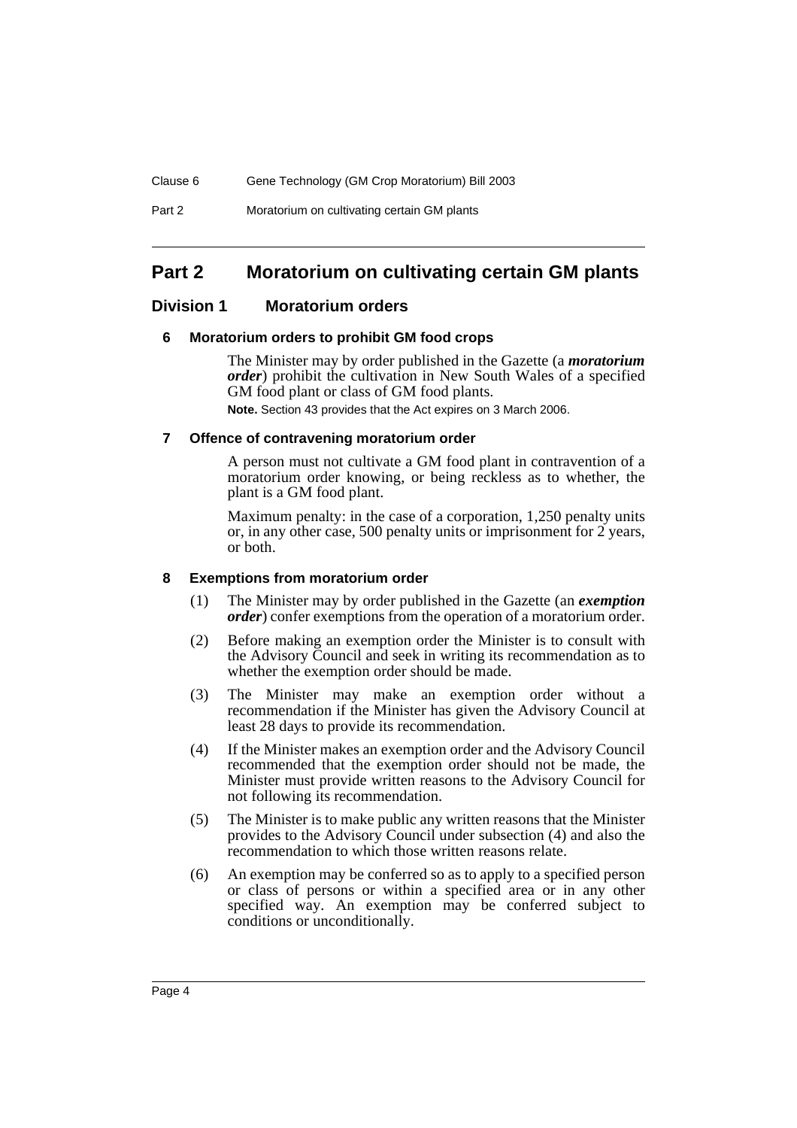# <span id="page-6-0"></span>**Part 2 Moratorium on cultivating certain GM plants**

# <span id="page-6-2"></span><span id="page-6-1"></span>**Division 1 Moratorium orders**

## **6 Moratorium orders to prohibit GM food crops**

The Minister may by order published in the Gazette (a *moratorium order*) prohibit the cultivation in New South Wales of a specified GM food plant or class of GM food plants.

**Note.** Section 43 provides that the Act expires on 3 March 2006.

### <span id="page-6-3"></span>**7 Offence of contravening moratorium order**

A person must not cultivate a GM food plant in contravention of a moratorium order knowing, or being reckless as to whether, the plant is a GM food plant.

Maximum penalty: in the case of a corporation, 1,250 penalty units or, in any other case, 500 penalty units or imprisonment for 2 years, or both.

## <span id="page-6-4"></span>**8 Exemptions from moratorium order**

- (1) The Minister may by order published in the Gazette (an *exemption order*) confer exemptions from the operation of a moratorium order.
- (2) Before making an exemption order the Minister is to consult with the Advisory Council and seek in writing its recommendation as to whether the exemption order should be made.
- (3) The Minister may make an exemption order without a recommendation if the Minister has given the Advisory Council at least 28 days to provide its recommendation.
- (4) If the Minister makes an exemption order and the Advisory Council recommended that the exemption order should not be made, the Minister must provide written reasons to the Advisory Council for not following its recommendation.
- (5) The Minister is to make public any written reasons that the Minister provides to the Advisory Council under subsection (4) and also the recommendation to which those written reasons relate.
- (6) An exemption may be conferred so as to apply to a specified person or class of persons or within a specified area or in any other specified way. An exemption may be conferred subject to conditions or unconditionally.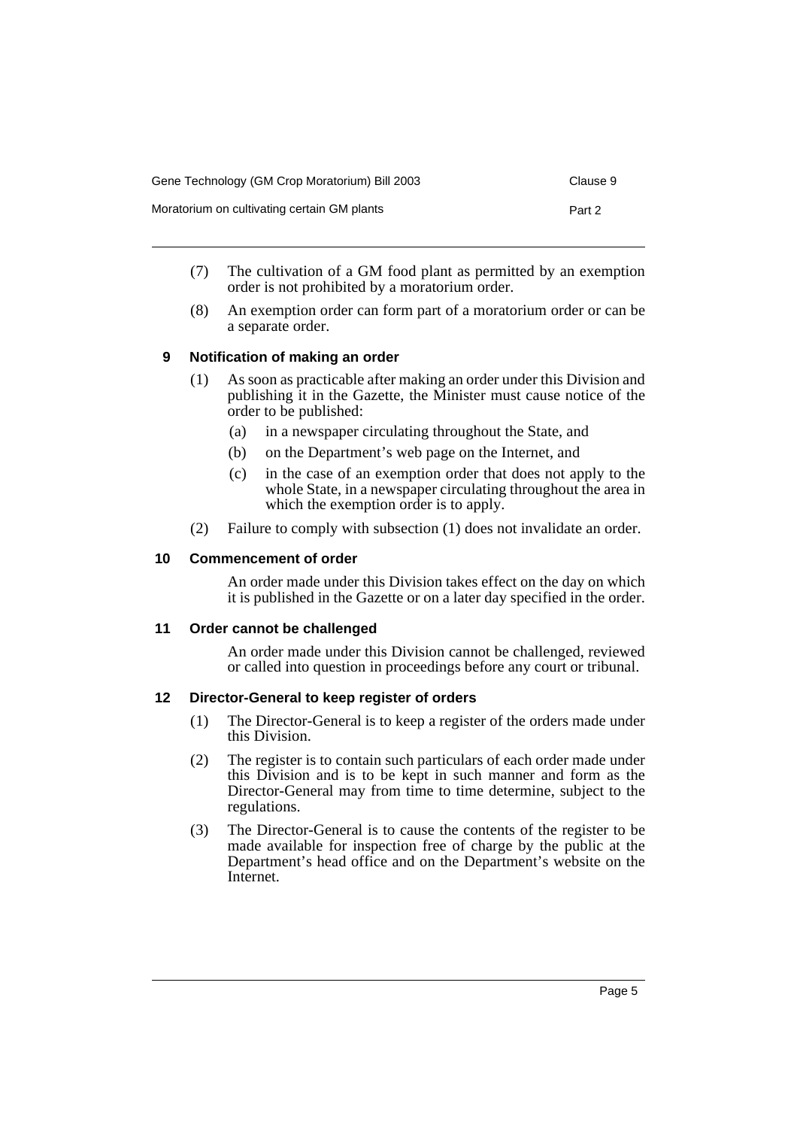| Gene Technology (GM Crop Moratorium) Bill 2003 | Clause 9 |
|------------------------------------------------|----------|
| Moratorium on cultivating certain GM plants    | Part 2   |

- (7) The cultivation of a GM food plant as permitted by an exemption order is not prohibited by a moratorium order.
- (8) An exemption order can form part of a moratorium order or can be a separate order.

### <span id="page-7-0"></span>**9 Notification of making an order**

- (1) As soon as practicable after making an order under this Division and publishing it in the Gazette, the Minister must cause notice of the order to be published:
	- (a) in a newspaper circulating throughout the State, and
	- (b) on the Department's web page on the Internet, and
	- (c) in the case of an exemption order that does not apply to the whole State, in a newspaper circulating throughout the area in which the exemption order is to apply.
- (2) Failure to comply with subsection (1) does not invalidate an order.

#### <span id="page-7-1"></span>**10 Commencement of order**

An order made under this Division takes effect on the day on which it is published in the Gazette or on a later day specified in the order.

#### <span id="page-7-2"></span>**11 Order cannot be challenged**

An order made under this Division cannot be challenged, reviewed or called into question in proceedings before any court or tribunal.

#### <span id="page-7-3"></span>**12 Director-General to keep register of orders**

- (1) The Director-General is to keep a register of the orders made under this Division.
- (2) The register is to contain such particulars of each order made under this Division and is to be kept in such manner and form as the Director-General may from time to time determine, subject to the regulations.
- (3) The Director-General is to cause the contents of the register to be made available for inspection free of charge by the public at the Department's head office and on the Department's website on the Internet.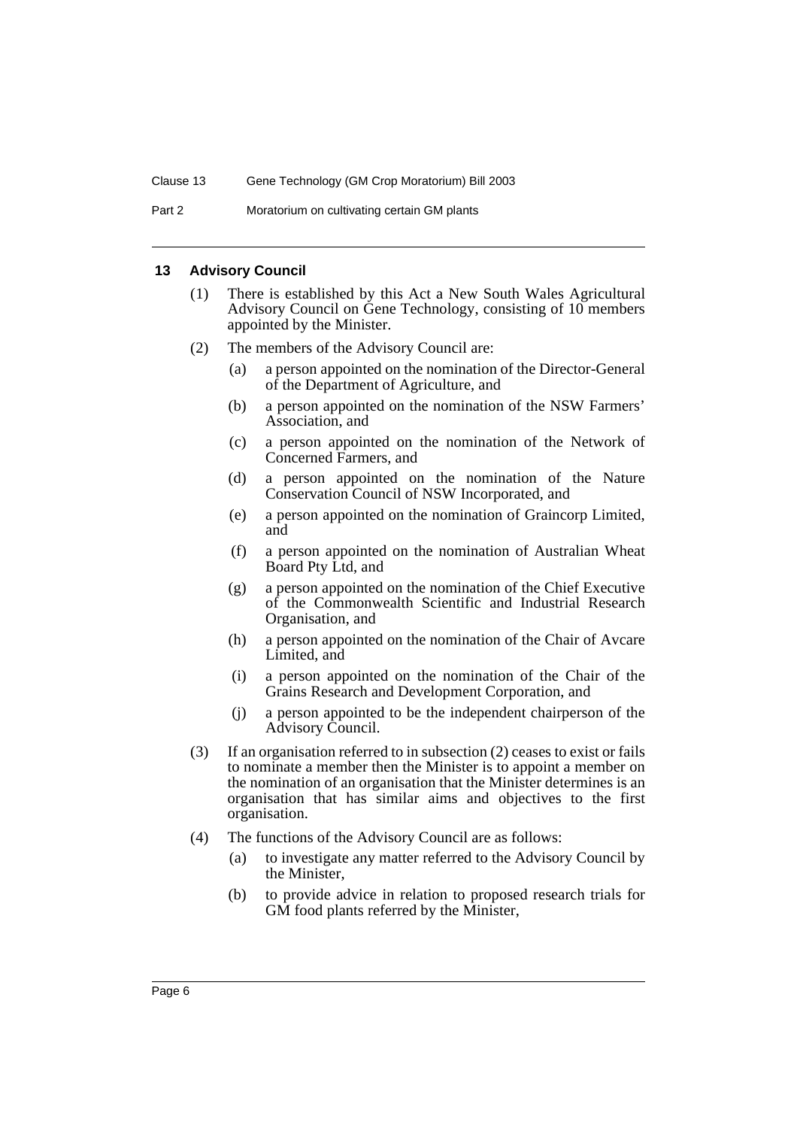Part 2 Moratorium on cultivating certain GM plants

#### <span id="page-8-0"></span>**13 Advisory Council**

- (1) There is established by this Act a New South Wales Agricultural Advisory Council on Gene Technology, consisting of 10 members appointed by the Minister.
- (2) The members of the Advisory Council are:
	- (a) a person appointed on the nomination of the Director-General of the Department of Agriculture, and
	- (b) a person appointed on the nomination of the NSW Farmers' Association, and
	- (c) a person appointed on the nomination of the Network of Concerned Farmers, and
	- (d) a person appointed on the nomination of the Nature Conservation Council of NSW Incorporated, and
	- (e) a person appointed on the nomination of Graincorp Limited, and
	- (f) a person appointed on the nomination of Australian Wheat Board Pty Ltd, and
	- (g) a person appointed on the nomination of the Chief Executive of the Commonwealth Scientific and Industrial Research Organisation, and
	- (h) a person appointed on the nomination of the Chair of Avcare Limited, and
	- (i) a person appointed on the nomination of the Chair of the Grains Research and Development Corporation, and
	- (j) a person appointed to be the independent chairperson of the Advisory Council.
- (3) If an organisation referred to in subsection (2) ceases to exist or fails to nominate a member then the Minister is to appoint a member on the nomination of an organisation that the Minister determines is an organisation that has similar aims and objectives to the first organisation.
- (4) The functions of the Advisory Council are as follows:
	- (a) to investigate any matter referred to the Advisory Council by the Minister,
	- (b) to provide advice in relation to proposed research trials for GM food plants referred by the Minister,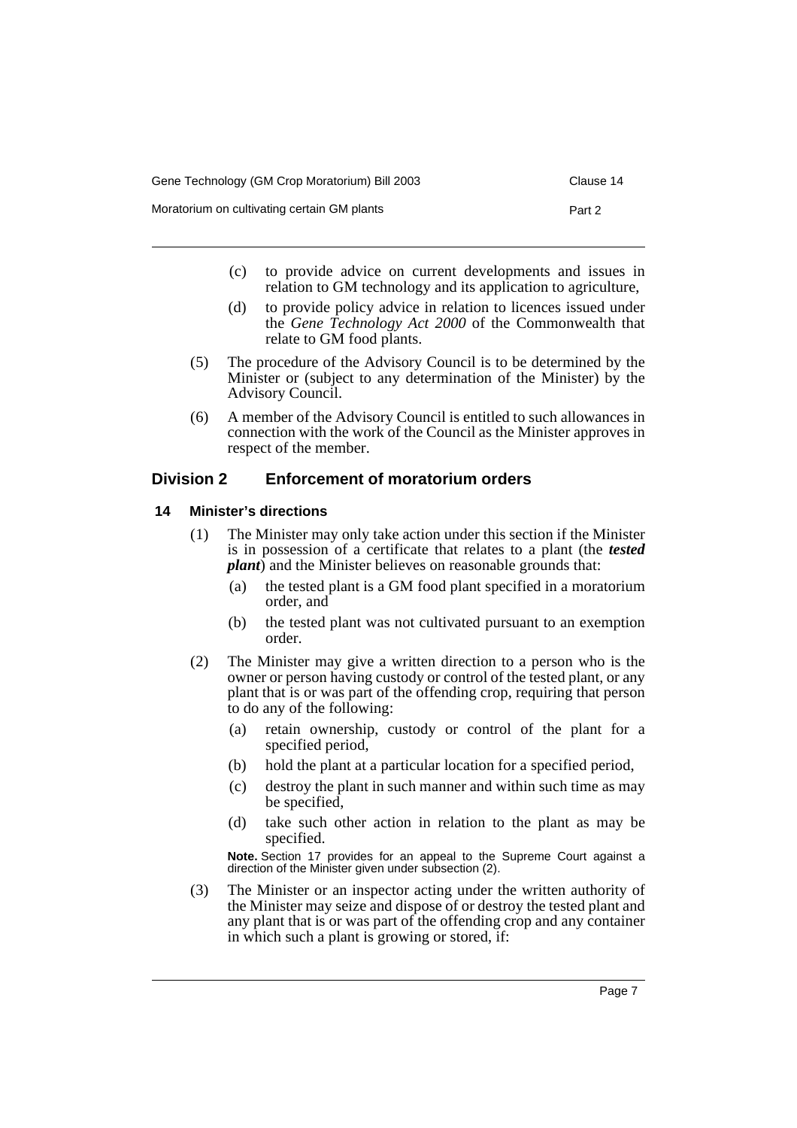- (c) to provide advice on current developments and issues in relation to GM technology and its application to agriculture,
- (d) to provide policy advice in relation to licences issued under the *Gene Technology Act 2000* of the Commonwealth that relate to GM food plants.
- (5) The procedure of the Advisory Council is to be determined by the Minister or (subject to any determination of the Minister) by the Advisory Council.
- (6) A member of the Advisory Council is entitled to such allowances in connection with the work of the Council as the Minister approves in respect of the member.

# <span id="page-9-0"></span>**Division 2 Enforcement of moratorium orders**

# <span id="page-9-1"></span>**14 Minister's directions**

- (1) The Minister may only take action under this section if the Minister is in possession of a certificate that relates to a plant (the *tested plant*) and the Minister believes on reasonable grounds that:
	- (a) the tested plant is a GM food plant specified in a moratorium order, and
	- (b) the tested plant was not cultivated pursuant to an exemption order.
- (2) The Minister may give a written direction to a person who is the owner or person having custody or control of the tested plant, or any plant that is or was part of the offending crop, requiring that person to do any of the following:
	- (a) retain ownership, custody or control of the plant for a specified period,
	- (b) hold the plant at a particular location for a specified period,
	- (c) destroy the plant in such manner and within such time as may be specified,
	- (d) take such other action in relation to the plant as may be specified.

**Note.** Section 17 provides for an appeal to the Supreme Court against a direction of the Minister given under subsection (2).

(3) The Minister or an inspector acting under the written authority of the Minister may seize and dispose of or destroy the tested plant and any plant that is or was part of the offending crop and any container in which such a plant is growing or stored, if: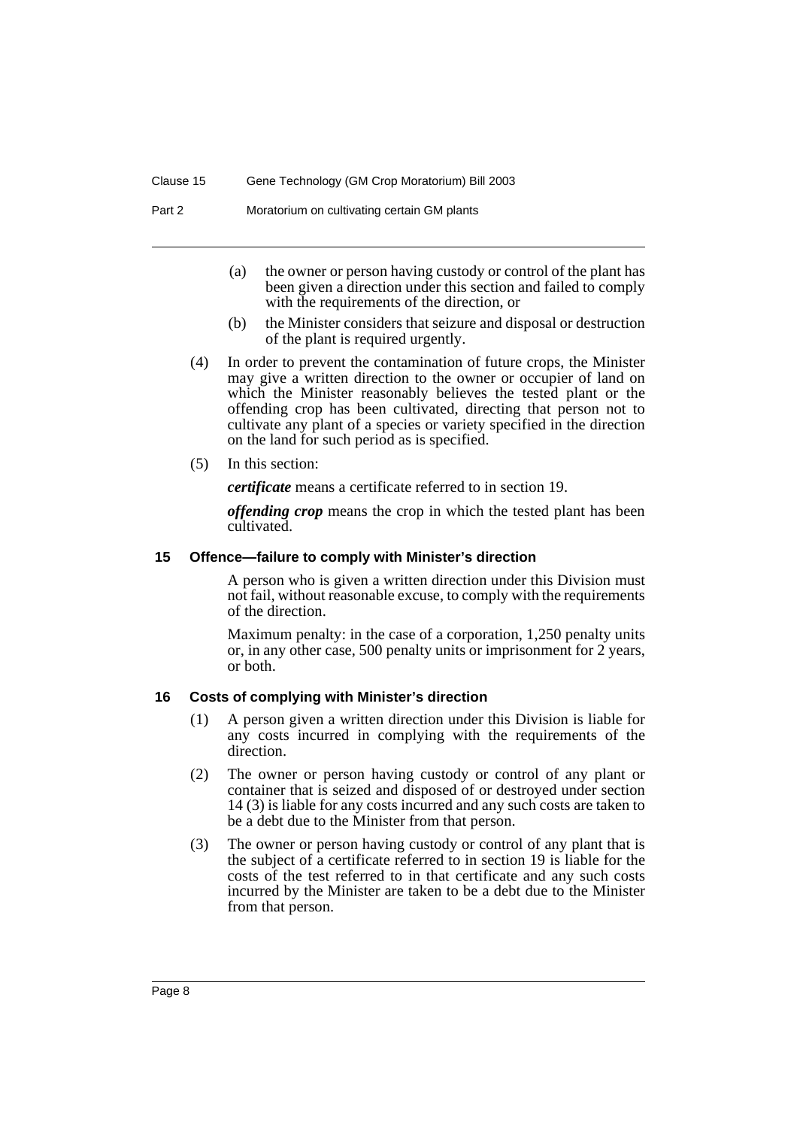Part 2 Moratorium on cultivating certain GM plants

- (a) the owner or person having custody or control of the plant has been given a direction under this section and failed to comply with the requirements of the direction, or
- (b) the Minister considers that seizure and disposal or destruction of the plant is required urgently.
- (4) In order to prevent the contamination of future crops, the Minister may give a written direction to the owner or occupier of land on which the Minister reasonably believes the tested plant or the offending crop has been cultivated, directing that person not to cultivate any plant of a species or variety specified in the direction on the land for such period as is specified.
- (5) In this section:

*certificate* means a certificate referred to in section 19.

*offending crop* means the crop in which the tested plant has been cultivated.

#### <span id="page-10-0"></span>**15 Offence—failure to comply with Minister's direction**

A person who is given a written direction under this Division must not fail, without reasonable excuse, to comply with the requirements of the direction.

Maximum penalty: in the case of a corporation, 1,250 penalty units or, in any other case, 500 penalty units or imprisonment for 2 years, or both.

#### <span id="page-10-1"></span>**16 Costs of complying with Minister's direction**

- (1) A person given a written direction under this Division is liable for any costs incurred in complying with the requirements of the direction.
- (2) The owner or person having custody or control of any plant or container that is seized and disposed of or destroyed under section 14 (3) is liable for any costs incurred and any such costs are taken to be a debt due to the Minister from that person.
- (3) The owner or person having custody or control of any plant that is the subject of a certificate referred to in section 19 is liable for the costs of the test referred to in that certificate and any such costs incurred by the Minister are taken to be a debt due to the Minister from that person.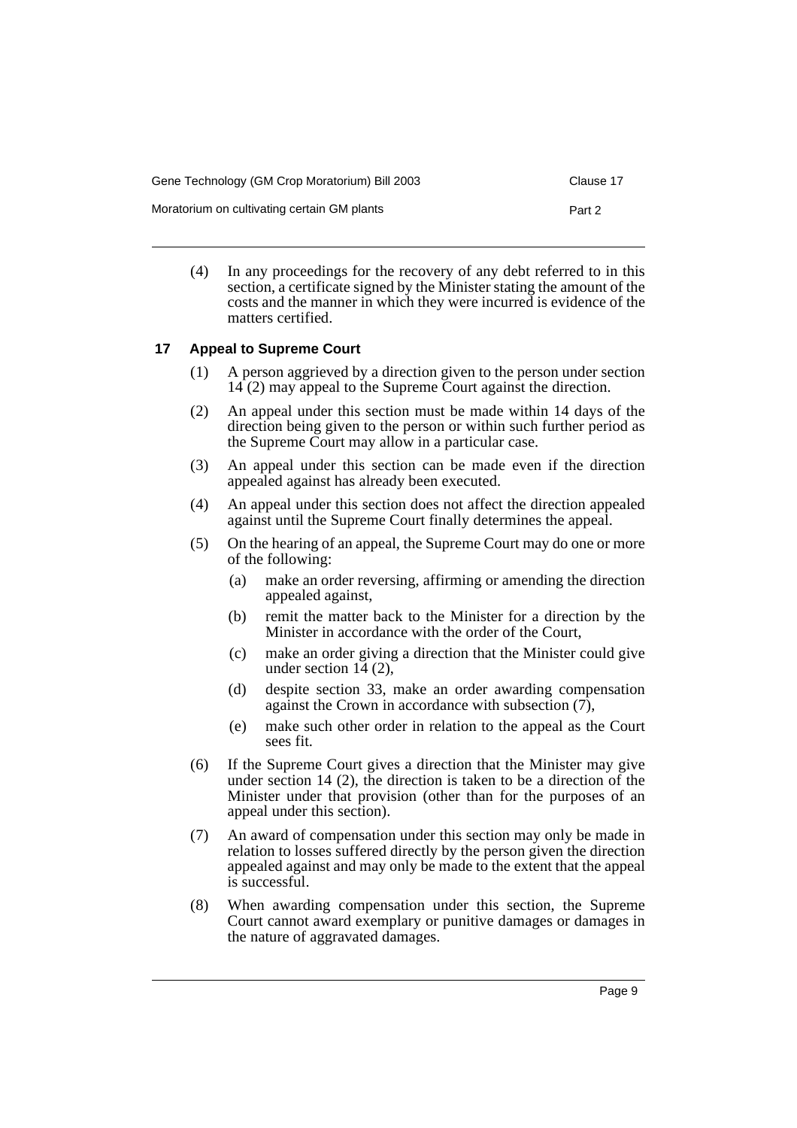| Gene Technology (GM Crop Moratorium) Bill 2003 | Clause 17 |
|------------------------------------------------|-----------|
| Moratorium on cultivating certain GM plants    | Part 2    |

(4) In any proceedings for the recovery of any debt referred to in this section, a certificate signed by the Minister stating the amount of the costs and the manner in which they were incurred is evidence of the matters certified.

# <span id="page-11-0"></span>**17 Appeal to Supreme Court**

- (1) A person aggrieved by a direction given to the person under section  $14(2)$  may appeal to the Supreme Court against the direction.
- (2) An appeal under this section must be made within 14 days of the direction being given to the person or within such further period as the Supreme Court may allow in a particular case.
- (3) An appeal under this section can be made even if the direction appealed against has already been executed.
- (4) An appeal under this section does not affect the direction appealed against until the Supreme Court finally determines the appeal.
- (5) On the hearing of an appeal, the Supreme Court may do one or more of the following:
	- (a) make an order reversing, affirming or amending the direction appealed against,
	- (b) remit the matter back to the Minister for a direction by the Minister in accordance with the order of the Court,
	- (c) make an order giving a direction that the Minister could give under section 14 (2),
	- (d) despite section 33, make an order awarding compensation against the Crown in accordance with subsection (7),
	- (e) make such other order in relation to the appeal as the Court sees fit.
- (6) If the Supreme Court gives a direction that the Minister may give under section 14 (2), the direction is taken to be a direction of the Minister under that provision (other than for the purposes of an appeal under this section).
- (7) An award of compensation under this section may only be made in relation to losses suffered directly by the person given the direction appealed against and may only be made to the extent that the appeal is successful.
- (8) When awarding compensation under this section, the Supreme Court cannot award exemplary or punitive damages or damages in the nature of aggravated damages.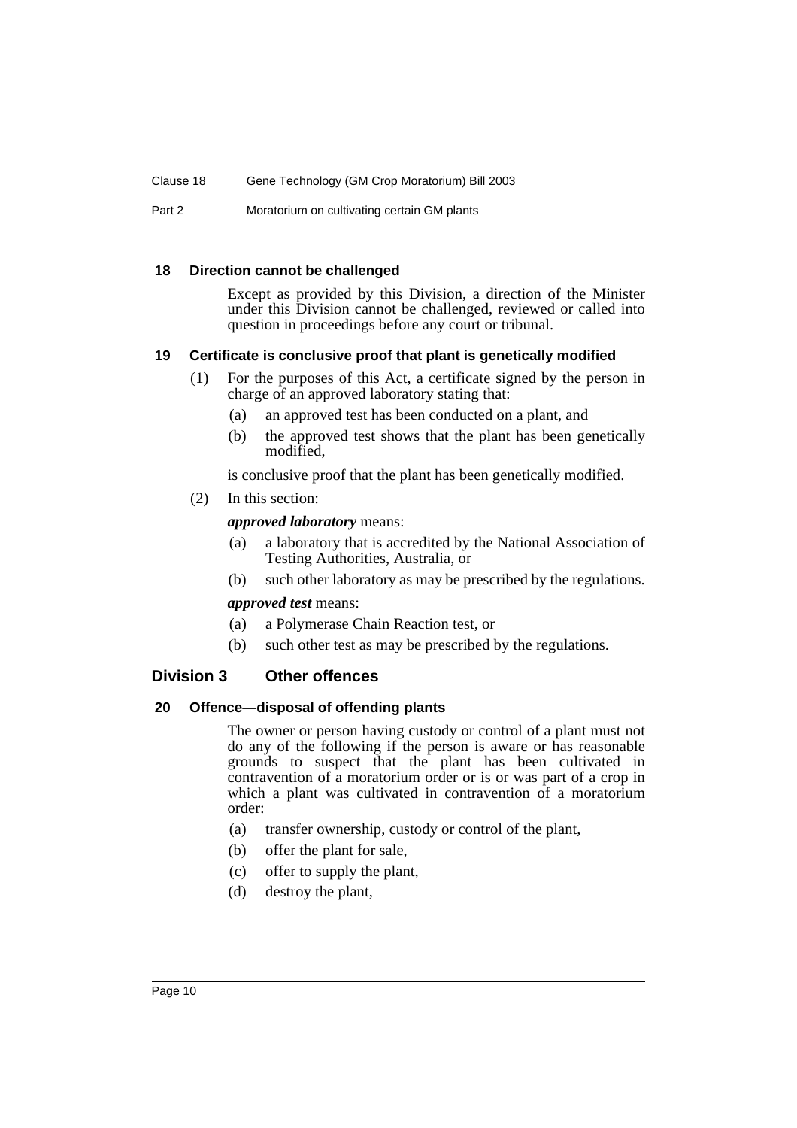#### Clause 18 Gene Technology (GM Crop Moratorium) Bill 2003

Part 2 Moratorium on cultivating certain GM plants

#### <span id="page-12-0"></span>**18 Direction cannot be challenged**

Except as provided by this Division, a direction of the Minister under this Division cannot be challenged, reviewed or called into question in proceedings before any court or tribunal.

#### <span id="page-12-1"></span>**19 Certificate is conclusive proof that plant is genetically modified**

- (1) For the purposes of this Act, a certificate signed by the person in charge of an approved laboratory stating that:
	- (a) an approved test has been conducted on a plant, and
	- (b) the approved test shows that the plant has been genetically modified,

is conclusive proof that the plant has been genetically modified.

(2) In this section:

### *approved laboratory* means:

- (a) a laboratory that is accredited by the National Association of Testing Authorities, Australia, or
- (b) such other laboratory as may be prescribed by the regulations.

#### *approved test* means:

- (a) a Polymerase Chain Reaction test, or
- (b) such other test as may be prescribed by the regulations.

## <span id="page-12-2"></span>**Division 3 Other offences**

#### <span id="page-12-3"></span>**20 Offence—disposal of offending plants**

The owner or person having custody or control of a plant must not do any of the following if the person is aware or has reasonable grounds to suspect that the plant has been cultivated in contravention of a moratorium order or is or was part of a crop in which a plant was cultivated in contravention of a moratorium order:

- (a) transfer ownership, custody or control of the plant,
- (b) offer the plant for sale,
- (c) offer to supply the plant,
- (d) destroy the plant,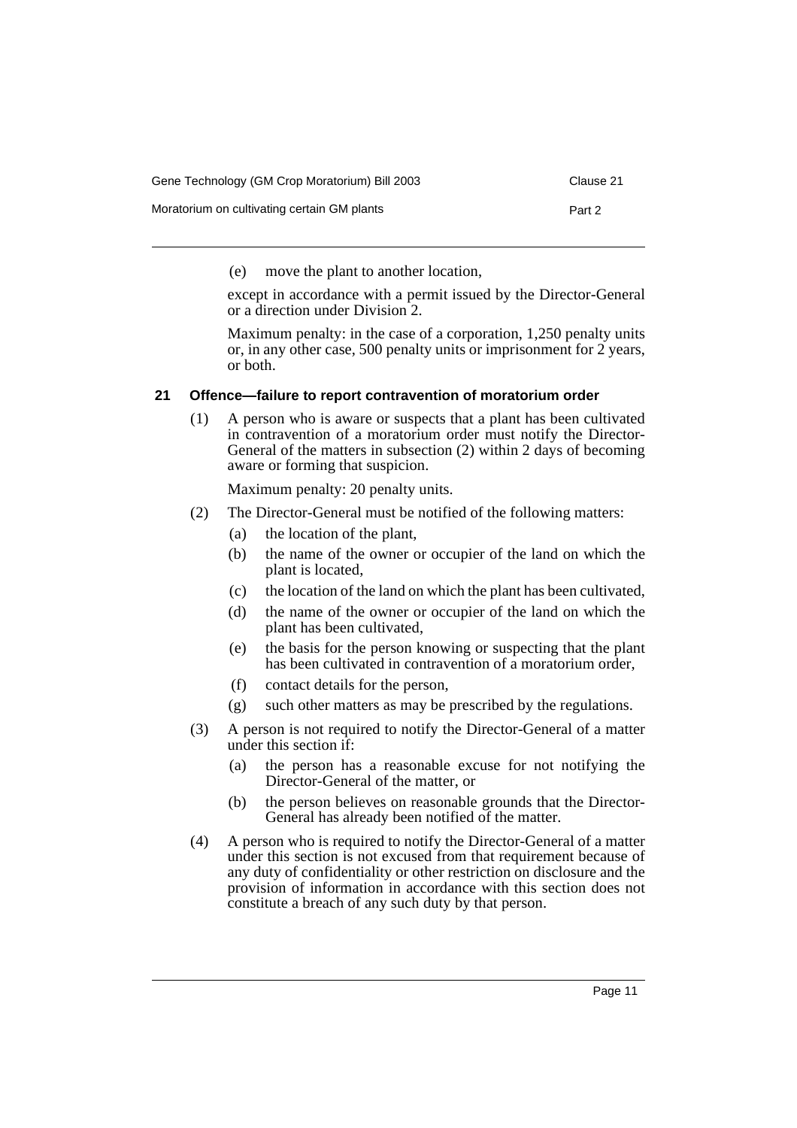| Gene Technology (GM Crop Moratorium) Bill 2003 | Clause 21 |
|------------------------------------------------|-----------|
| Moratorium on cultivating certain GM plants    | Part 2    |

(e) move the plant to another location,

except in accordance with a permit issued by the Director-General or a direction under Division 2.

Maximum penalty: in the case of a corporation, 1,250 penalty units or, in any other case, 500 penalty units or imprisonment for 2 years, or both.

### <span id="page-13-0"></span>**21 Offence—failure to report contravention of moratorium order**

(1) A person who is aware or suspects that a plant has been cultivated in contravention of a moratorium order must notify the Director-General of the matters in subsection (2) within 2 days of becoming aware or forming that suspicion.

Maximum penalty: 20 penalty units.

- (2) The Director-General must be notified of the following matters:
	- (a) the location of the plant,
	- (b) the name of the owner or occupier of the land on which the plant is located,
	- (c) the location of the land on which the plant has been cultivated,
	- (d) the name of the owner or occupier of the land on which the plant has been cultivated,
	- (e) the basis for the person knowing or suspecting that the plant has been cultivated in contravention of a moratorium order,
	- (f) contact details for the person,
	- (g) such other matters as may be prescribed by the regulations.
- (3) A person is not required to notify the Director-General of a matter under this section if:
	- (a) the person has a reasonable excuse for not notifying the Director-General of the matter, or
	- (b) the person believes on reasonable grounds that the Director-General has already been notified of the matter.
- (4) A person who is required to notify the Director-General of a matter under this section is not excused from that requirement because of any duty of confidentiality or other restriction on disclosure and the provision of information in accordance with this section does not constitute a breach of any such duty by that person.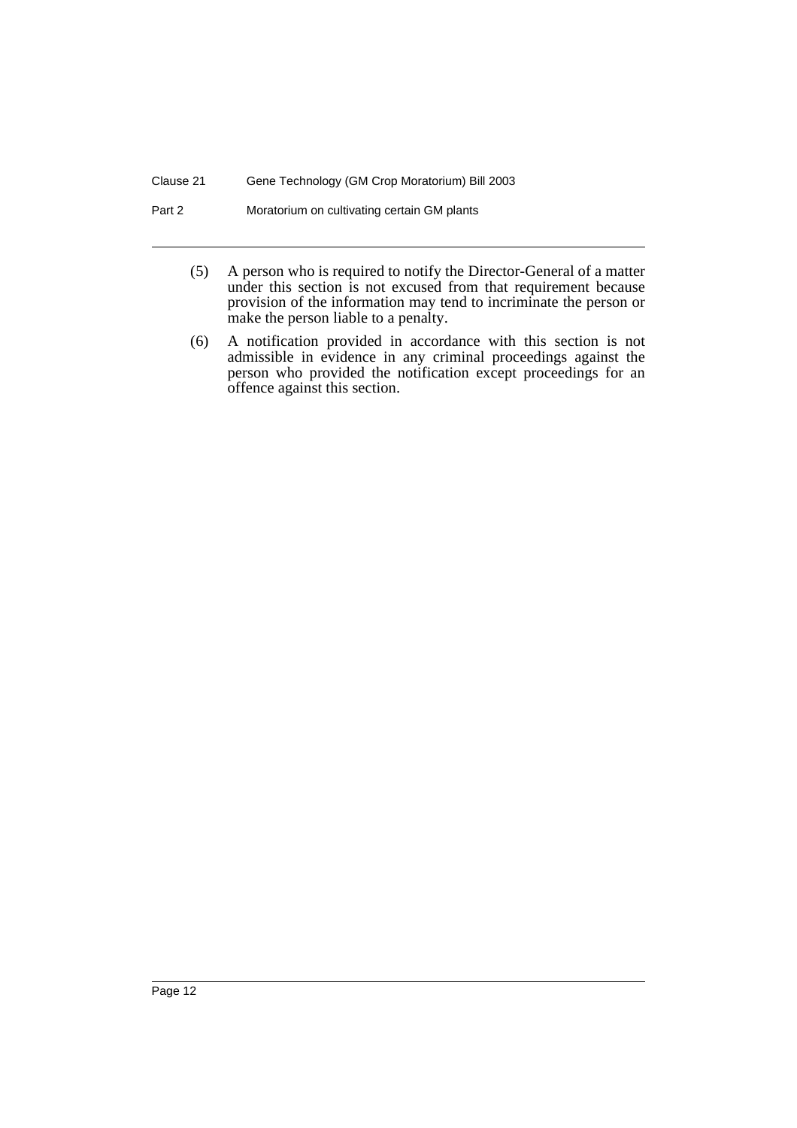#### Clause 21 Gene Technology (GM Crop Moratorium) Bill 2003

Part 2 Moratorium on cultivating certain GM plants

- (5) A person who is required to notify the Director-General of a matter under this section is not excused from that requirement because provision of the information may tend to incriminate the person or make the person liable to a penalty.
- (6) A notification provided in accordance with this section is not admissible in evidence in any criminal proceedings against the person who provided the notification except proceedings for an offence against this section.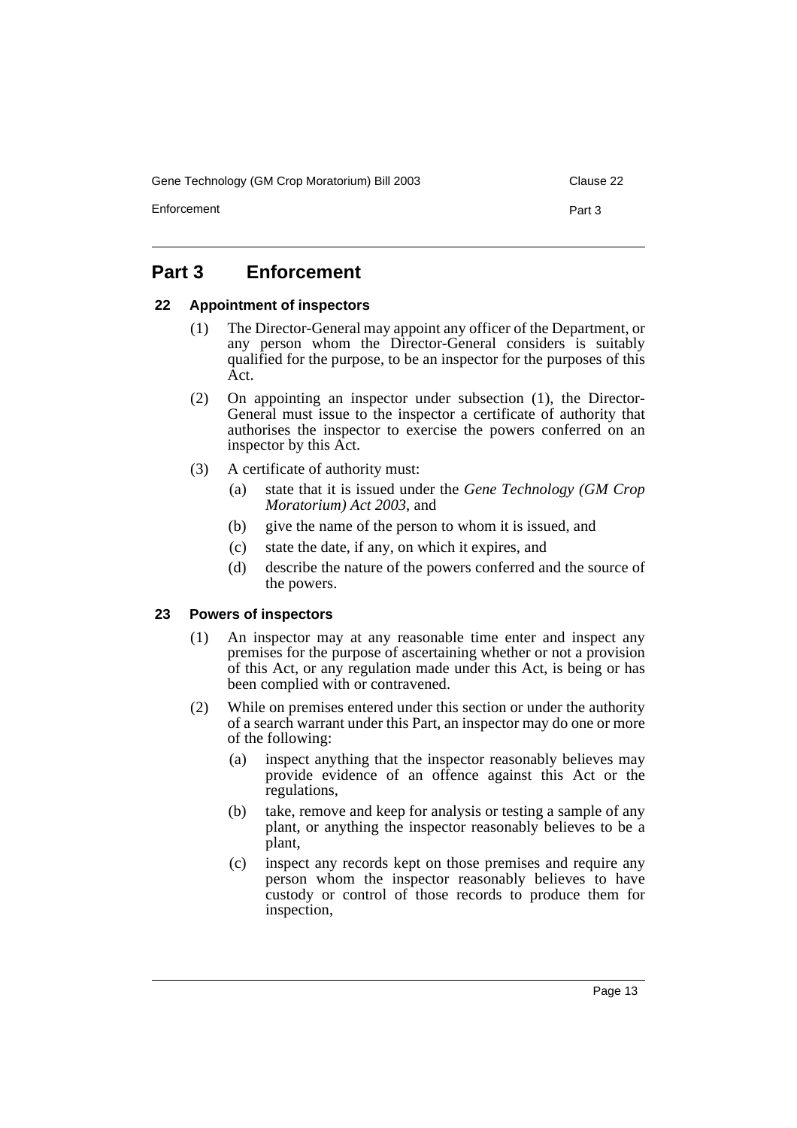Enforcement Part 3

# <span id="page-15-0"></span>**Part 3 Enforcement**

### <span id="page-15-1"></span>**22 Appointment of inspectors**

- (1) The Director-General may appoint any officer of the Department, or any person whom the Director-General considers is suitably qualified for the purpose, to be an inspector for the purposes of this Act.
- (2) On appointing an inspector under subsection (1), the Director-General must issue to the inspector a certificate of authority that authorises the inspector to exercise the powers conferred on an inspector by this Act.
- (3) A certificate of authority must:
	- (a) state that it is issued under the *Gene Technology (GM Crop Moratorium) Act 2003*, and
	- (b) give the name of the person to whom it is issued, and
	- (c) state the date, if any, on which it expires, and
	- (d) describe the nature of the powers conferred and the source of the powers.

#### <span id="page-15-2"></span>**23 Powers of inspectors**

- (1) An inspector may at any reasonable time enter and inspect any premises for the purpose of ascertaining whether or not a provision of this Act, or any regulation made under this Act, is being or has been complied with or contravened.
- (2) While on premises entered under this section or under the authority of a search warrant under this Part, an inspector may do one or more of the following:
	- (a) inspect anything that the inspector reasonably believes may provide evidence of an offence against this Act or the regulations,
	- (b) take, remove and keep for analysis or testing a sample of any plant, or anything the inspector reasonably believes to be a plant,
	- (c) inspect any records kept on those premises and require any person whom the inspector reasonably believes to have custody or control of those records to produce them for inspection,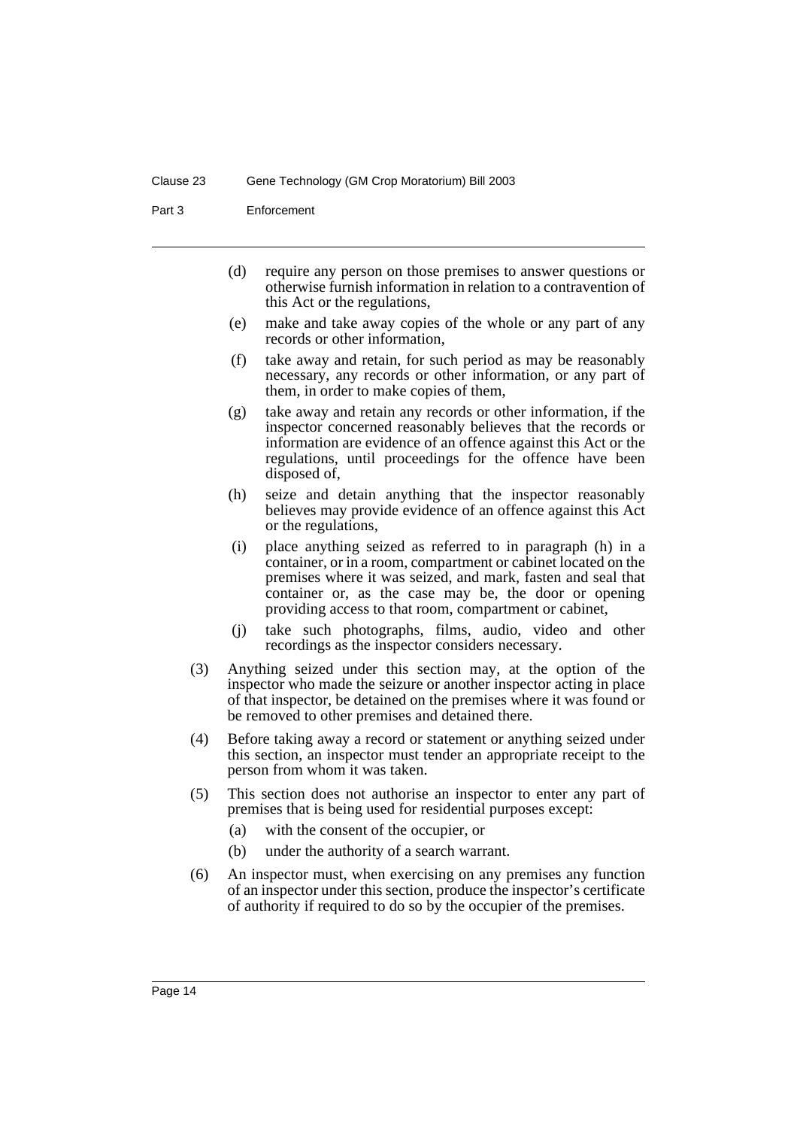Part 3 Enforcement

- (d) require any person on those premises to answer questions or otherwise furnish information in relation to a contravention of this Act or the regulations,
- (e) make and take away copies of the whole or any part of any records or other information,
- (f) take away and retain, for such period as may be reasonably necessary, any records or other information, or any part of them, in order to make copies of them,
- (g) take away and retain any records or other information, if the inspector concerned reasonably believes that the records or information are evidence of an offence against this Act or the regulations, until proceedings for the offence have been disposed of,
- (h) seize and detain anything that the inspector reasonably believes may provide evidence of an offence against this Act or the regulations,
- (i) place anything seized as referred to in paragraph (h) in a container, or in a room, compartment or cabinet located on the premises where it was seized, and mark, fasten and seal that container or, as the case may be, the door or opening providing access to that room, compartment or cabinet,
- (j) take such photographs, films, audio, video and other recordings as the inspector considers necessary.
- (3) Anything seized under this section may, at the option of the inspector who made the seizure or another inspector acting in place of that inspector, be detained on the premises where it was found or be removed to other premises and detained there.
- (4) Before taking away a record or statement or anything seized under this section, an inspector must tender an appropriate receipt to the person from whom it was taken.
- (5) This section does not authorise an inspector to enter any part of premises that is being used for residential purposes except:
	- (a) with the consent of the occupier, or
	- (b) under the authority of a search warrant.
- (6) An inspector must, when exercising on any premises any function of an inspector under this section, produce the inspector's certificate of authority if required to do so by the occupier of the premises.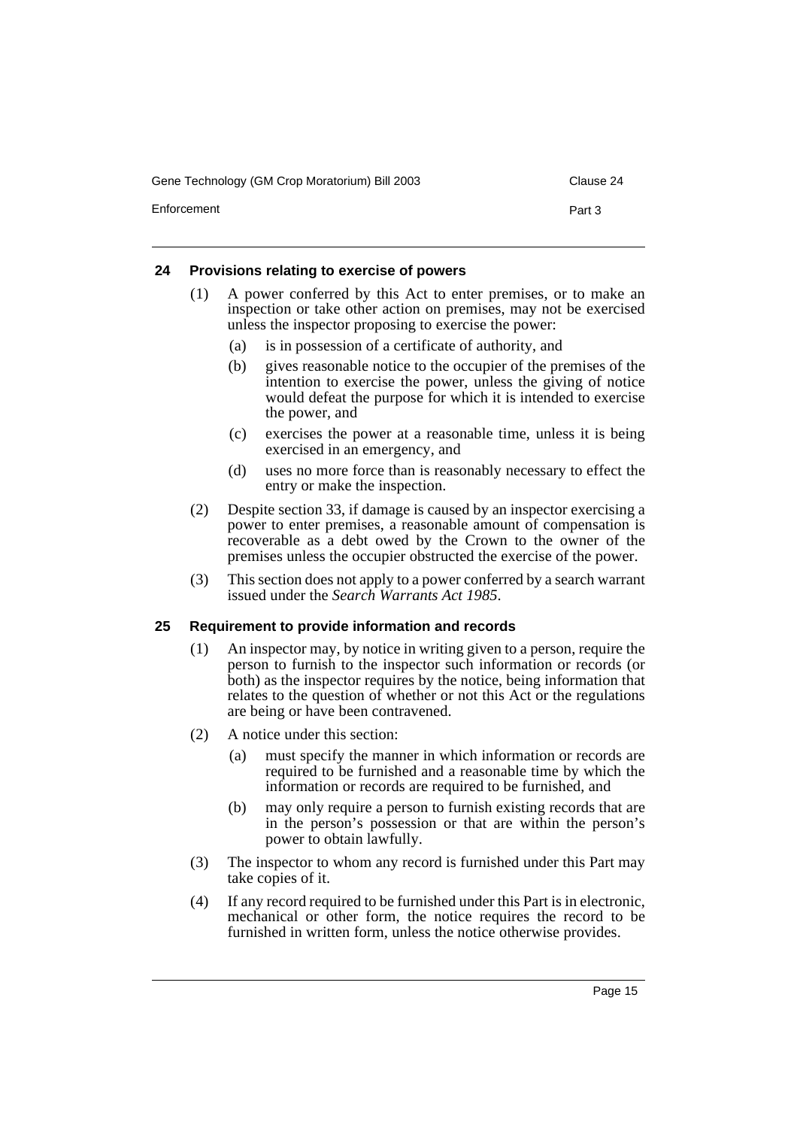Enforcement Part 3

#### <span id="page-17-0"></span>**24 Provisions relating to exercise of powers**

- (1) A power conferred by this Act to enter premises, or to make an inspection or take other action on premises, may not be exercised unless the inspector proposing to exercise the power:
	- (a) is in possession of a certificate of authority, and
	- (b) gives reasonable notice to the occupier of the premises of the intention to exercise the power, unless the giving of notice would defeat the purpose for which it is intended to exercise the power, and
	- (c) exercises the power at a reasonable time, unless it is being exercised in an emergency, and
	- (d) uses no more force than is reasonably necessary to effect the entry or make the inspection.
- (2) Despite section 33, if damage is caused by an inspector exercising a power to enter premises, a reasonable amount of compensation is recoverable as a debt owed by the Crown to the owner of the premises unless the occupier obstructed the exercise of the power.
- (3) This section does not apply to a power conferred by a search warrant issued under the *Search Warrants Act 1985*.

#### <span id="page-17-1"></span>**25 Requirement to provide information and records**

- (1) An inspector may, by notice in writing given to a person, require the person to furnish to the inspector such information or records (or both) as the inspector requires by the notice, being information that relates to the question of whether or not this Act or the regulations are being or have been contravened.
- (2) A notice under this section:
	- (a) must specify the manner in which information or records are required to be furnished and a reasonable time by which the information or records are required to be furnished, and
	- (b) may only require a person to furnish existing records that are in the person's possession or that are within the person's power to obtain lawfully.
- (3) The inspector to whom any record is furnished under this Part may take copies of it.
- (4) If any record required to be furnished under this Part is in electronic, mechanical or other form, the notice requires the record to be furnished in written form, unless the notice otherwise provides.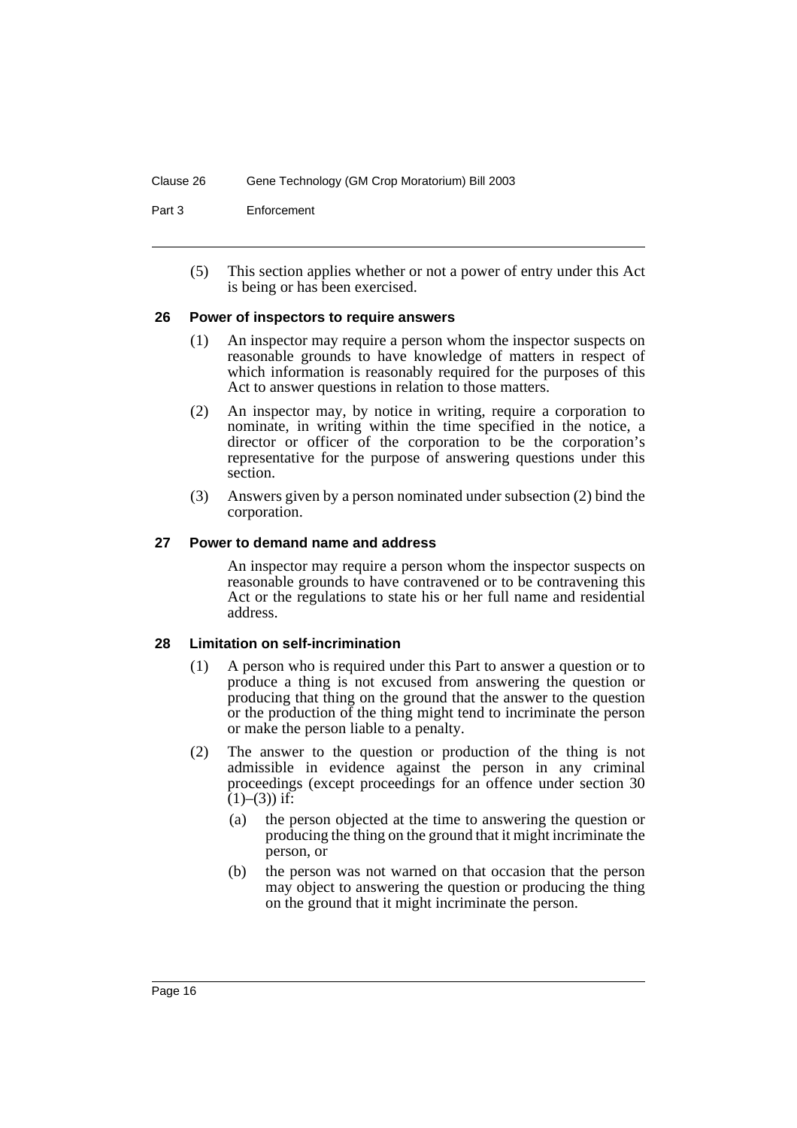#### Clause 26 Gene Technology (GM Crop Moratorium) Bill 2003

Part 3 Enforcement

(5) This section applies whether or not a power of entry under this Act is being or has been exercised.

#### <span id="page-18-0"></span>**26 Power of inspectors to require answers**

- (1) An inspector may require a person whom the inspector suspects on reasonable grounds to have knowledge of matters in respect of which information is reasonably required for the purposes of this Act to answer questions in relation to those matters.
- (2) An inspector may, by notice in writing, require a corporation to nominate, in writing within the time specified in the notice, a director or officer of the corporation to be the corporation's representative for the purpose of answering questions under this section.
- (3) Answers given by a person nominated under subsection (2) bind the corporation.

#### <span id="page-18-1"></span>**27 Power to demand name and address**

An inspector may require a person whom the inspector suspects on reasonable grounds to have contravened or to be contravening this Act or the regulations to state his or her full name and residential address.

#### <span id="page-18-2"></span>**28 Limitation on self-incrimination**

- (1) A person who is required under this Part to answer a question or to produce a thing is not excused from answering the question or producing that thing on the ground that the answer to the question or the production of the thing might tend to incriminate the person or make the person liable to a penalty.
- (2) The answer to the question or production of the thing is not admissible in evidence against the person in any criminal proceedings (except proceedings for an offence under section 30  $(1)–(3)$ ) if:
	- (a) the person objected at the time to answering the question or producing the thing on the ground that it might incriminate the person, or
	- (b) the person was not warned on that occasion that the person may object to answering the question or producing the thing on the ground that it might incriminate the person.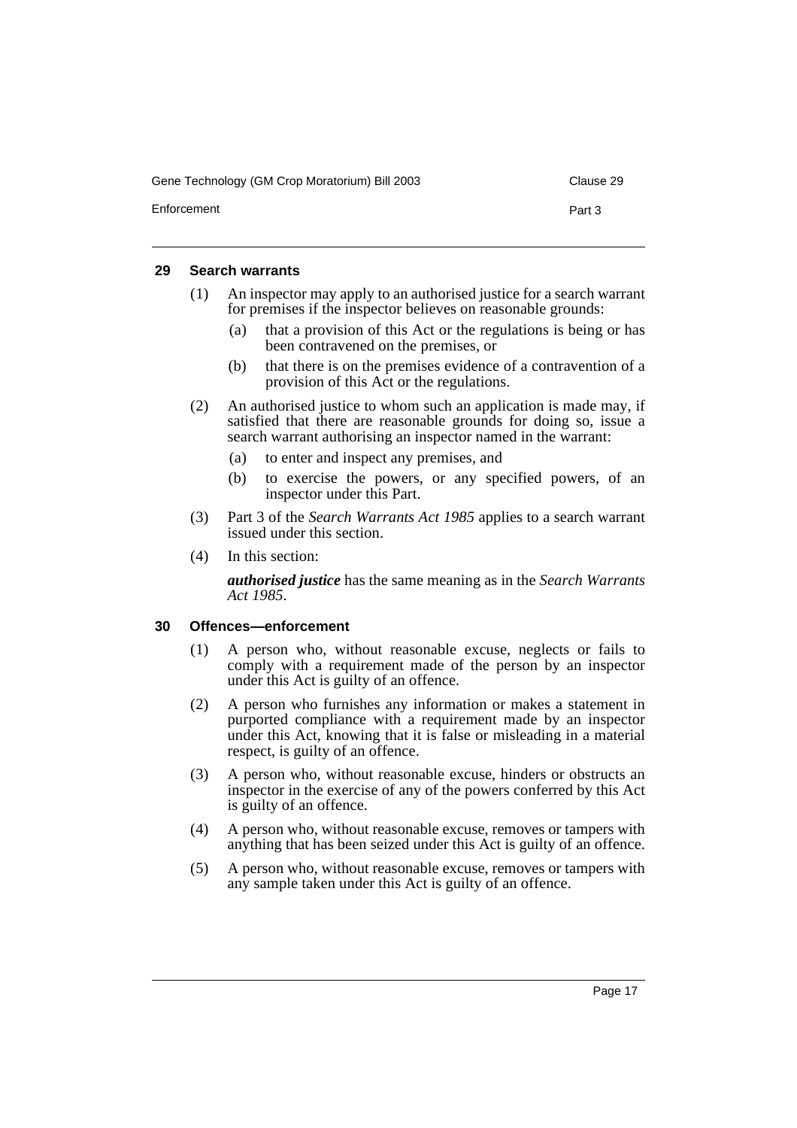Enforcement Part 3

#### <span id="page-19-0"></span>**29 Search warrants**

- (1) An inspector may apply to an authorised justice for a search warrant for premises if the inspector believes on reasonable grounds:
	- (a) that a provision of this Act or the regulations is being or has been contravened on the premises, or
	- (b) that there is on the premises evidence of a contravention of a provision of this Act or the regulations.
- (2) An authorised justice to whom such an application is made may, if satisfied that there are reasonable grounds for doing so, issue a search warrant authorising an inspector named in the warrant:
	- (a) to enter and inspect any premises, and
	- (b) to exercise the powers, or any specified powers, of an inspector under this Part.
- (3) Part 3 of the *Search Warrants Act 1985* applies to a search warrant issued under this section.
- (4) In this section:

*authorised justice* has the same meaning as in the *Search Warrants Act 1985*.

#### <span id="page-19-1"></span>**30 Offences—enforcement**

- (1) A person who, without reasonable excuse, neglects or fails to comply with a requirement made of the person by an inspector under this Act is guilty of an offence.
- (2) A person who furnishes any information or makes a statement in purported compliance with a requirement made by an inspector under this Act, knowing that it is false or misleading in a material respect, is guilty of an offence.
- (3) A person who, without reasonable excuse, hinders or obstructs an inspector in the exercise of any of the powers conferred by this Act is guilty of an offence.
- (4) A person who, without reasonable excuse, removes or tampers with anything that has been seized under this Act is guilty of an offence.
- (5) A person who, without reasonable excuse, removes or tampers with any sample taken under this Act is guilty of an offence.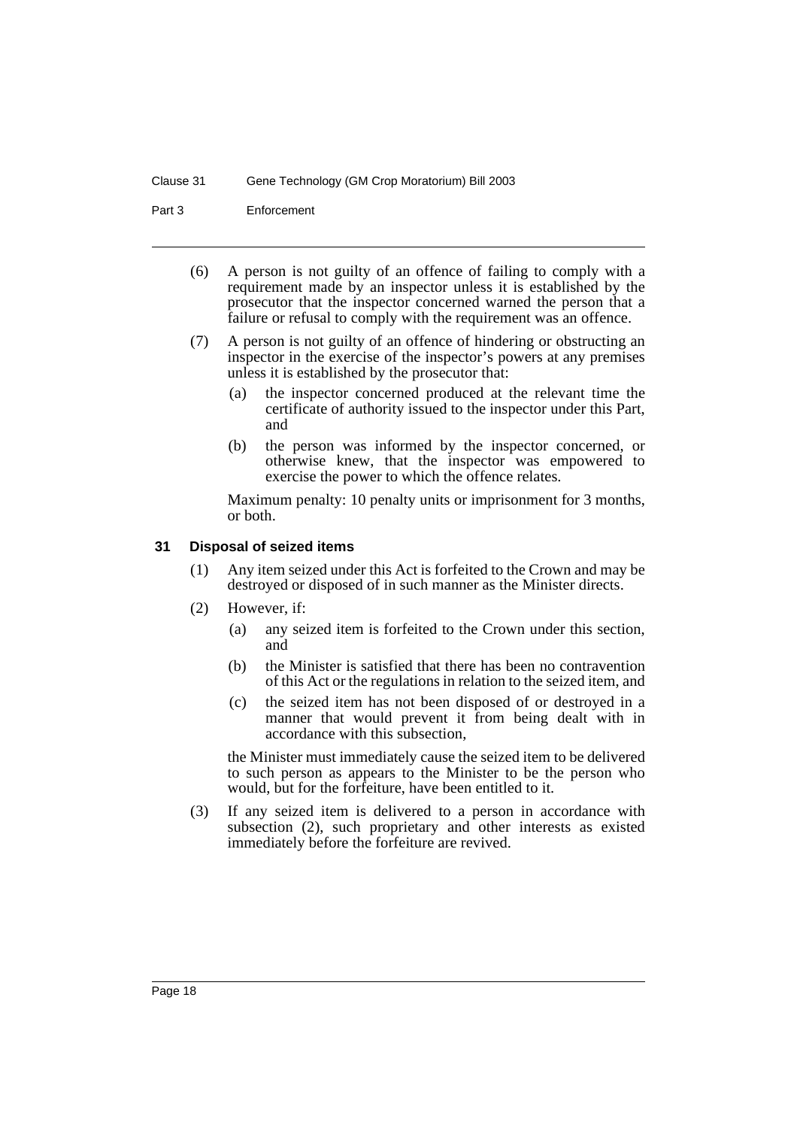Part 3 Enforcement

- (6) A person is not guilty of an offence of failing to comply with a requirement made by an inspector unless it is established by the prosecutor that the inspector concerned warned the person that a failure or refusal to comply with the requirement was an offence.
- (7) A person is not guilty of an offence of hindering or obstructing an inspector in the exercise of the inspector's powers at any premises unless it is established by the prosecutor that:
	- (a) the inspector concerned produced at the relevant time the certificate of authority issued to the inspector under this Part, and
	- (b) the person was informed by the inspector concerned, or otherwise knew, that the inspector was empowered to exercise the power to which the offence relates.

Maximum penalty: 10 penalty units or imprisonment for 3 months, or both.

#### <span id="page-20-0"></span>**31 Disposal of seized items**

- (1) Any item seized under this Act is forfeited to the Crown and may be destroyed or disposed of in such manner as the Minister directs.
- (2) However, if:
	- (a) any seized item is forfeited to the Crown under this section, and
	- (b) the Minister is satisfied that there has been no contravention of this Act or the regulations in relation to the seized item, and
	- (c) the seized item has not been disposed of or destroyed in a manner that would prevent it from being dealt with in accordance with this subsection,

the Minister must immediately cause the seized item to be delivered to such person as appears to the Minister to be the person who would, but for the forfeiture, have been entitled to it.

(3) If any seized item is delivered to a person in accordance with subsection (2), such proprietary and other interests as existed immediately before the forfeiture are revived.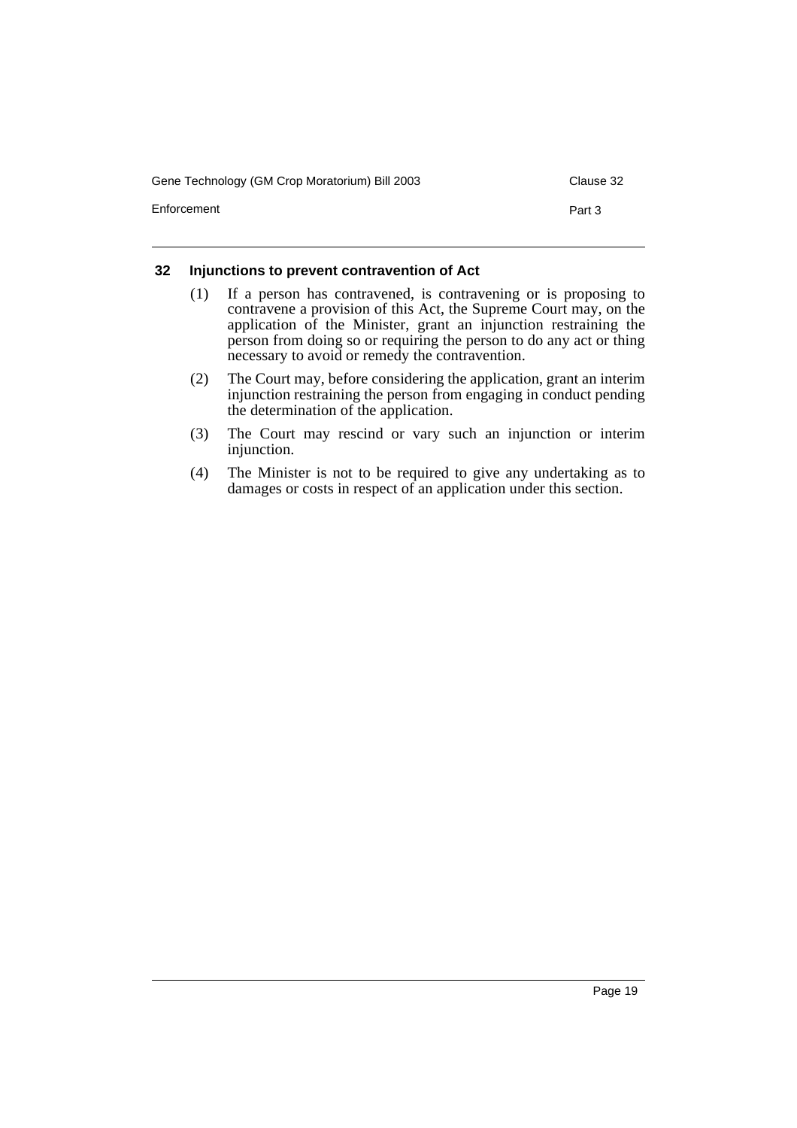Enforcement Part 3

#### <span id="page-21-0"></span>**32 Injunctions to prevent contravention of Act**

- (1) If a person has contravened, is contravening or is proposing to contravene a provision of this Act, the Supreme Court may, on the application of the Minister, grant an injunction restraining the person from doing so or requiring the person to do any act or thing necessary to avoid or remedy the contravention.
- (2) The Court may, before considering the application, grant an interim injunction restraining the person from engaging in conduct pending the determination of the application.
- (3) The Court may rescind or vary such an injunction or interim injunction.
- (4) The Minister is not to be required to give any undertaking as to damages or costs in respect of an application under this section.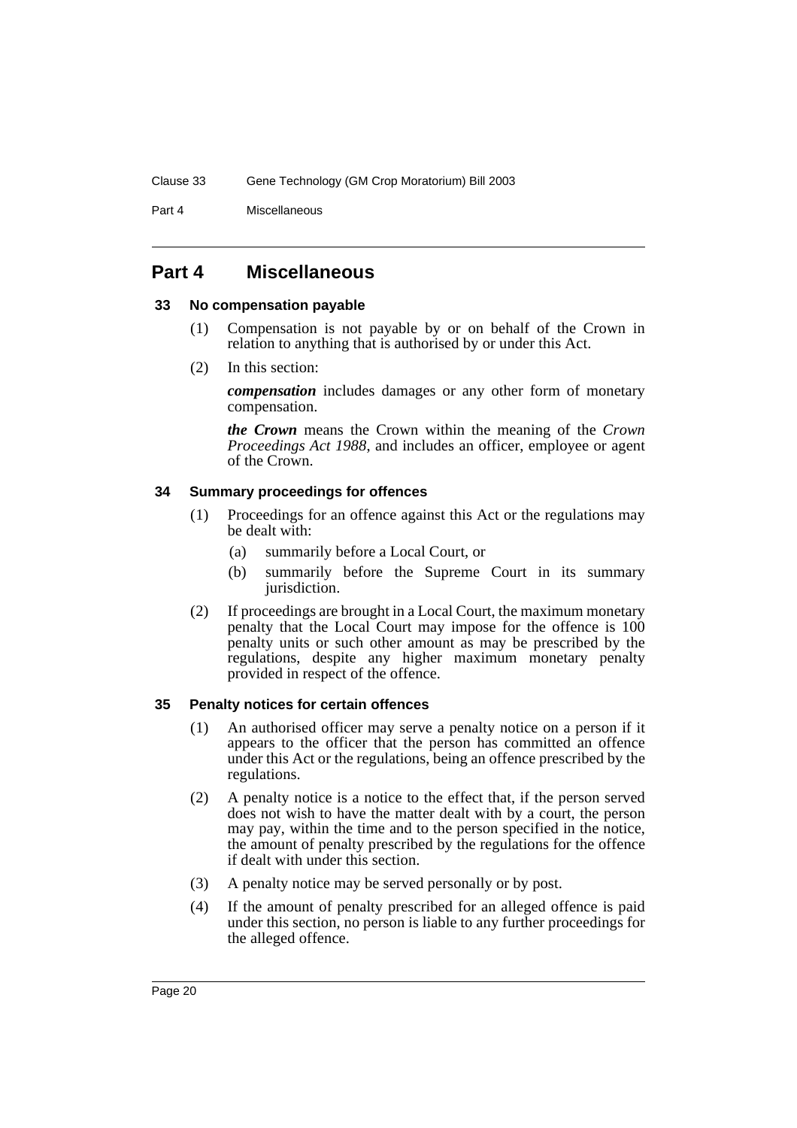Part 4 Miscellaneous

# <span id="page-22-0"></span>**Part 4 Miscellaneous**

#### <span id="page-22-1"></span>**33 No compensation payable**

- (1) Compensation is not payable by or on behalf of the Crown in relation to anything that is authorised by or under this Act.
- (2) In this section:

*compensation* includes damages or any other form of monetary compensation.

*the Crown* means the Crown within the meaning of the *Crown Proceedings Act 1988*, and includes an officer, employee or agent of the Crown.

#### <span id="page-22-2"></span>**34 Summary proceedings for offences**

- (1) Proceedings for an offence against this Act or the regulations may be dealt with:
	- (a) summarily before a Local Court, or
	- (b) summarily before the Supreme Court in its summary jurisdiction.
- (2) If proceedings are brought in a Local Court, the maximum monetary penalty that the Local Court may impose for the offence is 100 penalty units or such other amount as may be prescribed by the regulations, despite any higher maximum monetary penalty provided in respect of the offence.

#### <span id="page-22-3"></span>**35 Penalty notices for certain offences**

- (1) An authorised officer may serve a penalty notice on a person if it appears to the officer that the person has committed an offence under this Act or the regulations, being an offence prescribed by the regulations.
- (2) A penalty notice is a notice to the effect that, if the person served does not wish to have the matter dealt with by a court, the person may pay, within the time and to the person specified in the notice, the amount of penalty prescribed by the regulations for the offence if dealt with under this section.
- (3) A penalty notice may be served personally or by post.
- (4) If the amount of penalty prescribed for an alleged offence is paid under this section, no person is liable to any further proceedings for the alleged offence.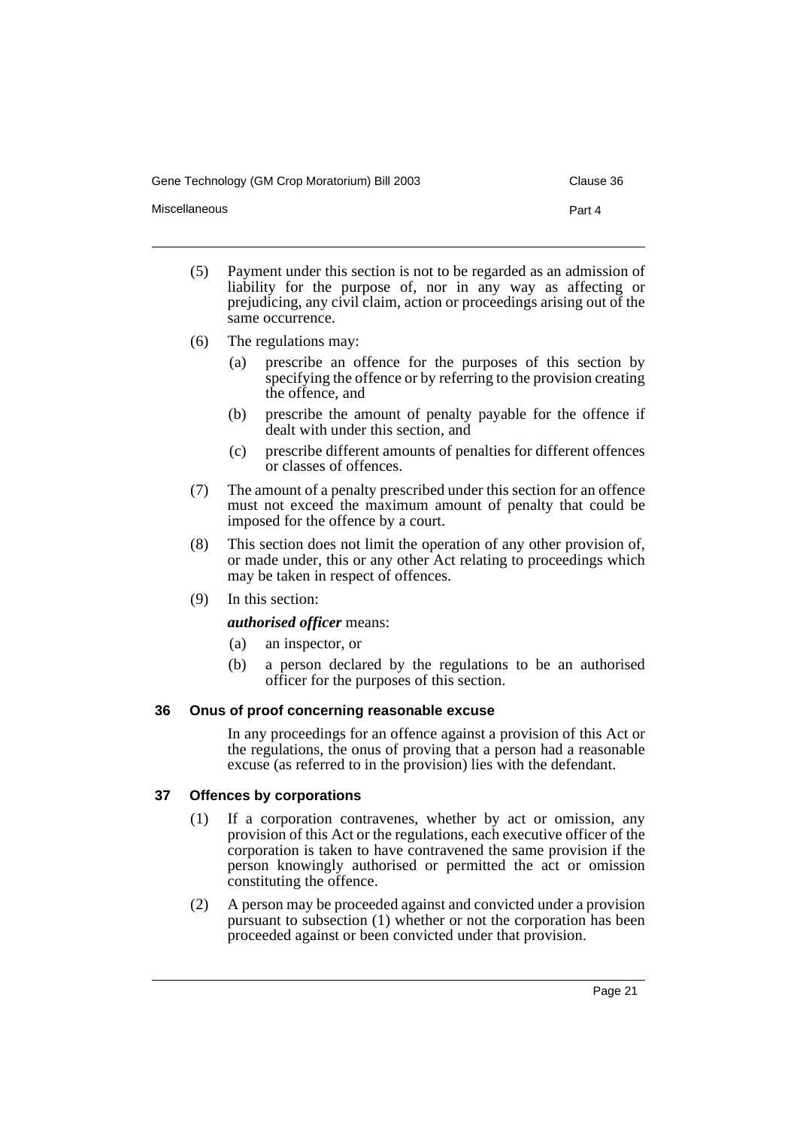Miscellaneous **Part 4** 

- 
- (5) Payment under this section is not to be regarded as an admission of liability for the purpose of, nor in any way as affecting or prejudicing, any civil claim, action or proceedings arising out of the same occurrence.
- (6) The regulations may:
	- (a) prescribe an offence for the purposes of this section by specifying the offence or by referring to the provision creating the offence, and
	- (b) prescribe the amount of penalty payable for the offence if dealt with under this section, and
	- (c) prescribe different amounts of penalties for different offences or classes of offences.
- (7) The amount of a penalty prescribed under this section for an offence must not exceed the maximum amount of penalty that could be imposed for the offence by a court.
- (8) This section does not limit the operation of any other provision of, or made under, this or any other Act relating to proceedings which may be taken in respect of offences.
- (9) In this section:

#### *authorised officer* means:

- (a) an inspector, or
- (b) a person declared by the regulations to be an authorised officer for the purposes of this section.

#### <span id="page-23-0"></span>**36 Onus of proof concerning reasonable excuse**

In any proceedings for an offence against a provision of this Act or the regulations, the onus of proving that a person had a reasonable excuse (as referred to in the provision) lies with the defendant.

#### <span id="page-23-1"></span>**37 Offences by corporations**

- (1) If a corporation contravenes, whether by act or omission, any provision of this Act or the regulations, each executive officer of the corporation is taken to have contravened the same provision if the person knowingly authorised or permitted the act or omission constituting the offence.
- (2) A person may be proceeded against and convicted under a provision pursuant to subsection (1) whether or not the corporation has been proceeded against or been convicted under that provision.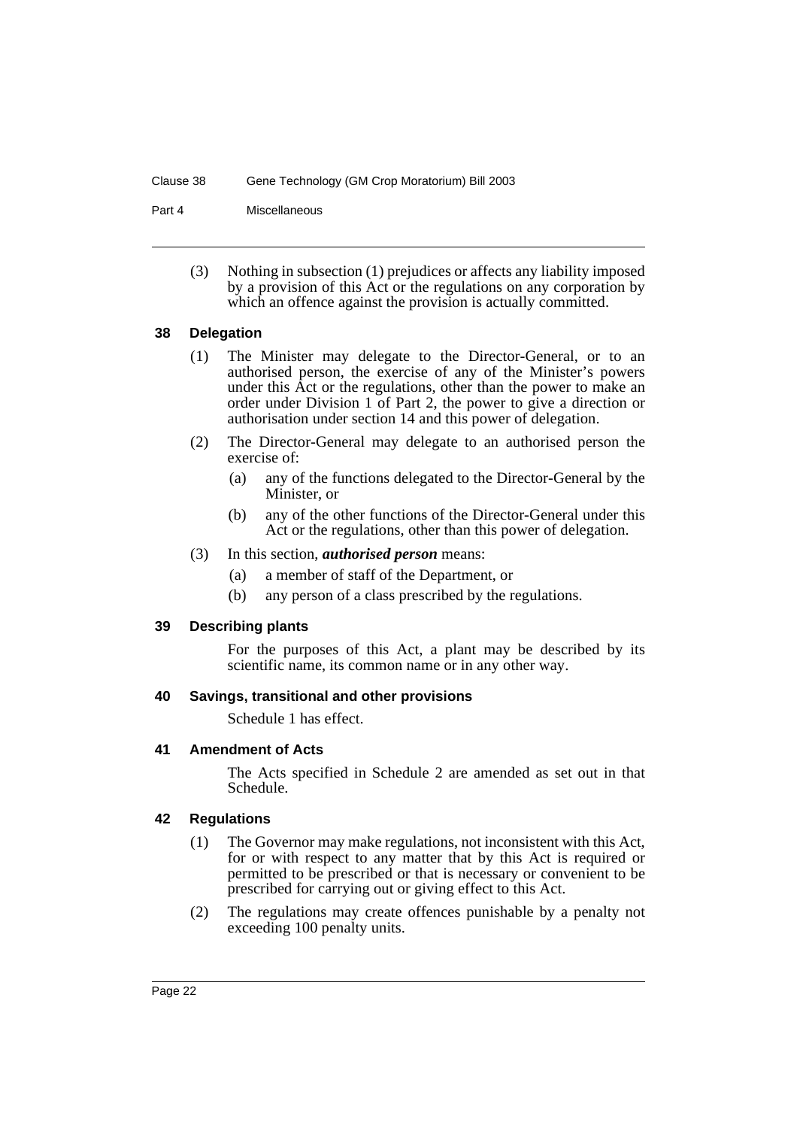#### Clause 38 Gene Technology (GM Crop Moratorium) Bill 2003

Part 4 Miscellaneous

(3) Nothing in subsection (1) prejudices or affects any liability imposed by a provision of this Act or the regulations on any corporation by which an offence against the provision is actually committed.

#### <span id="page-24-0"></span>**38 Delegation**

- (1) The Minister may delegate to the Director-General, or to an authorised person, the exercise of any of the Minister's powers under this Act or the regulations, other than the power to make an order under Division 1 of Part 2, the power to give a direction or authorisation under section 14 and this power of delegation.
- (2) The Director-General may delegate to an authorised person the exercise of:
	- (a) any of the functions delegated to the Director-General by the Minister, or
	- (b) any of the other functions of the Director-General under this Act or the regulations, other than this power of delegation.
- (3) In this section, *authorised person* means:
	- (a) a member of staff of the Department, or
	- (b) any person of a class prescribed by the regulations.

#### <span id="page-24-1"></span>**39 Describing plants**

For the purposes of this Act, a plant may be described by its scientific name, its common name or in any other way.

#### <span id="page-24-2"></span>**40 Savings, transitional and other provisions**

Schedule 1 has effect.

#### <span id="page-24-3"></span>**41 Amendment of Acts**

The Acts specified in Schedule 2 are amended as set out in that Schedule.

#### <span id="page-24-4"></span>**42 Regulations**

- (1) The Governor may make regulations, not inconsistent with this Act, for or with respect to any matter that by this Act is required or permitted to be prescribed or that is necessary or convenient to be prescribed for carrying out or giving effect to this Act.
- (2) The regulations may create offences punishable by a penalty not exceeding 100 penalty units.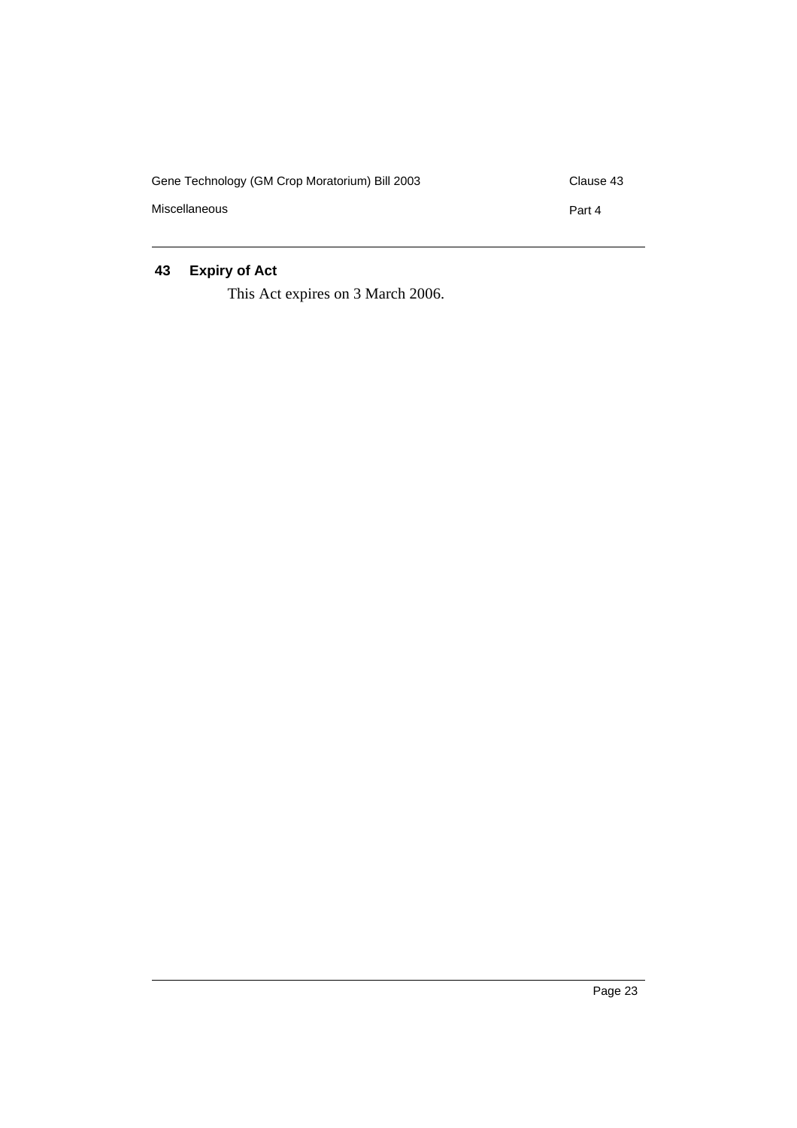| Gene Technology (GM Crop Moratorium) Bill 2003 | Clause 43 |
|------------------------------------------------|-----------|
| Miscellaneous                                  | Part 4    |
|                                                |           |

# <span id="page-25-0"></span>**43 Expiry of Act**

This Act expires on 3 March 2006.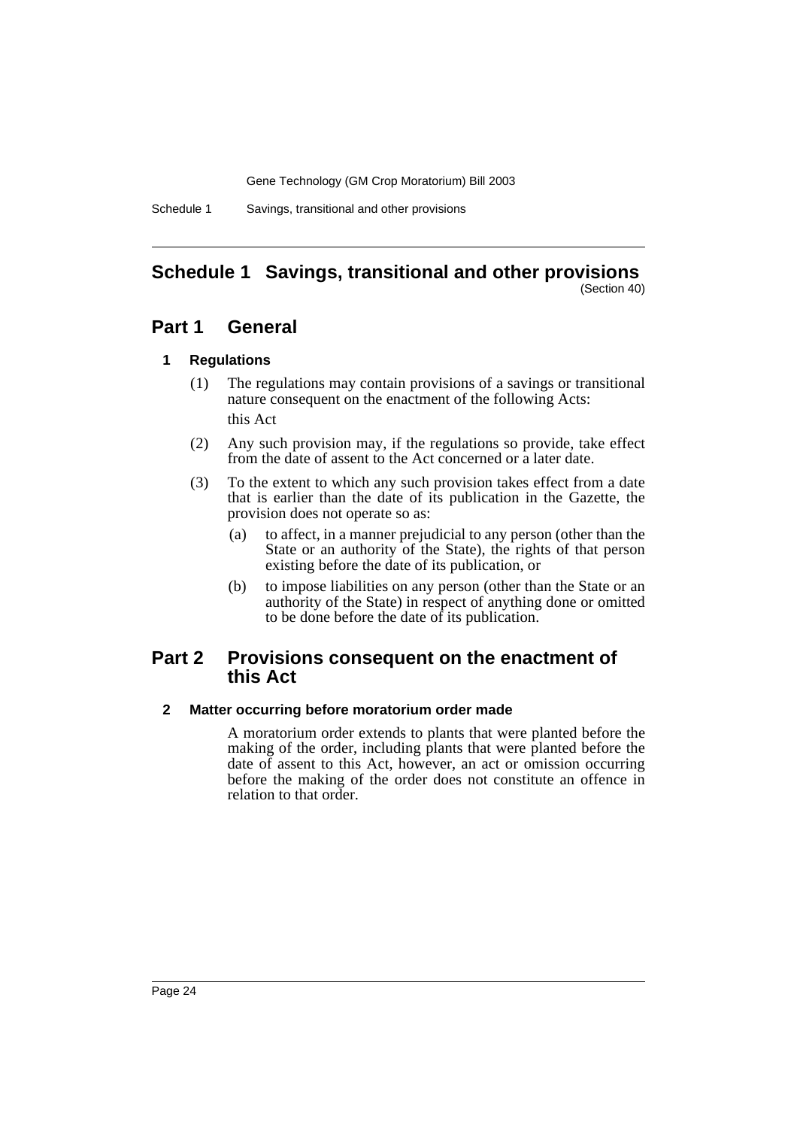Schedule 1 Savings, transitional and other provisions

#### <span id="page-26-0"></span>**Schedule 1 Savings, transitional and other provisions** (Section 40)

# **Part 1 General**

### **1 Regulations**

- (1) The regulations may contain provisions of a savings or transitional nature consequent on the enactment of the following Acts: this Act
- (2) Any such provision may, if the regulations so provide, take effect from the date of assent to the Act concerned or a later date.
- (3) To the extent to which any such provision takes effect from a date that is earlier than the date of its publication in the Gazette, the provision does not operate so as:
	- (a) to affect, in a manner prejudicial to any person (other than the State or an authority of the State), the rights of that person existing before the date of its publication, or
	- (b) to impose liabilities on any person (other than the State or an authority of the State) in respect of anything done or omitted to be done before the date of its publication.

# **Part 2 Provisions consequent on the enactment of this Act**

#### **2 Matter occurring before moratorium order made**

A moratorium order extends to plants that were planted before the making of the order, including plants that were planted before the date of assent to this Act, however, an act or omission occurring before the making of the order does not constitute an offence in relation to that order.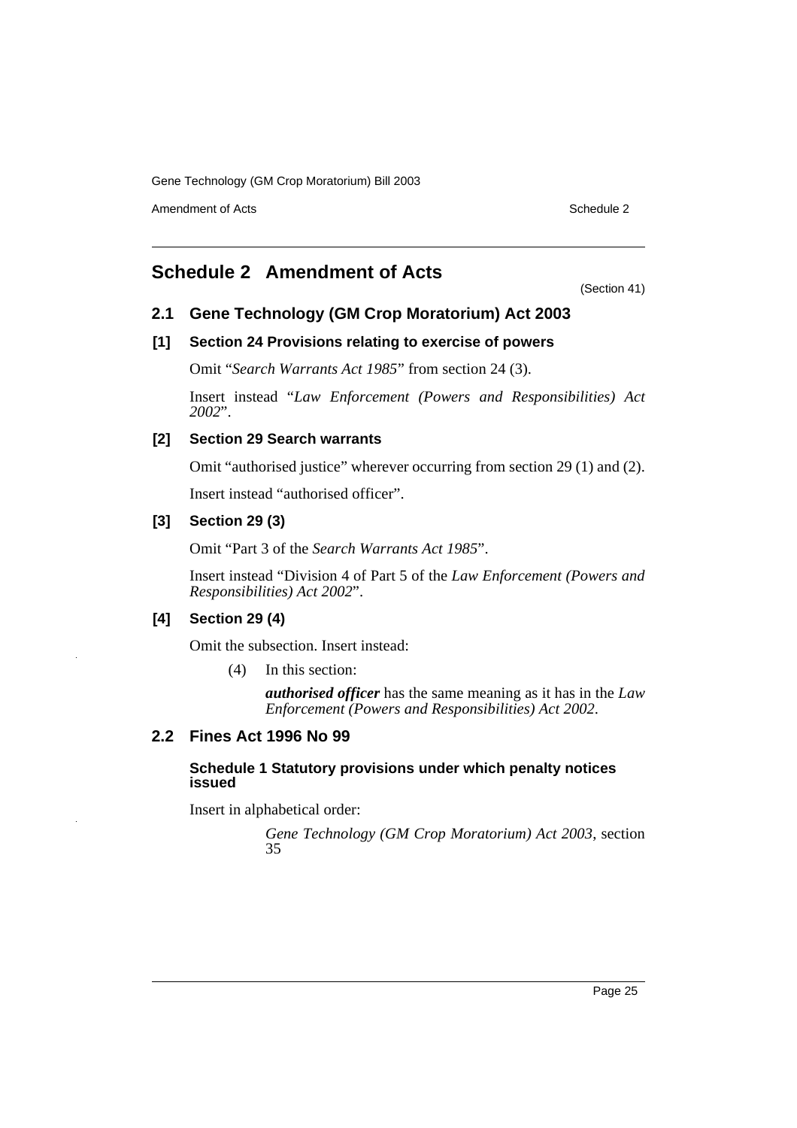Amendment of Acts **Schedule 2** and the 2 and the 2 and 2 and 2 and 2 and 2 and 2 and 2 and 2 and 2 and 2 and 2 and 2 and 2 and 2 and 2 and 2 and 2 and 2 and 2 and 2 and 2 and 2 and 2 and 2 and 2 and 2 and 2 and 2 and 2 and

# <span id="page-27-0"></span>**Schedule 2 Amendment of Acts**

(Section 41)

## **2.1 Gene Technology (GM Crop Moratorium) Act 2003**

#### **[1] Section 24 Provisions relating to exercise of powers**

Omit "*Search Warrants Act 1985*" from section 24 (3).

Insert instead "*Law Enforcement (Powers and Responsibilities) Act 2002*".

# **[2] Section 29 Search warrants**

Omit "authorised justice" wherever occurring from section 29 (1) and (2).

Insert instead "authorised officer".

### **[3] Section 29 (3)**

Omit "Part 3 of the *Search Warrants Act 1985*".

Insert instead "Division 4 of Part 5 of the *Law Enforcement (Powers and Responsibilities) Act 2002*".

# **[4] Section 29 (4)**

Omit the subsection. Insert instead:

(4) In this section:

*authorised officer* has the same meaning as it has in the *Law Enforcement (Powers and Responsibilities) Act 2002*.

# **2.2 Fines Act 1996 No 99**

#### **Schedule 1 Statutory provisions under which penalty notices issued**

Insert in alphabetical order:

*Gene Technology (GM Crop Moratorium) Act 2003*, section 35